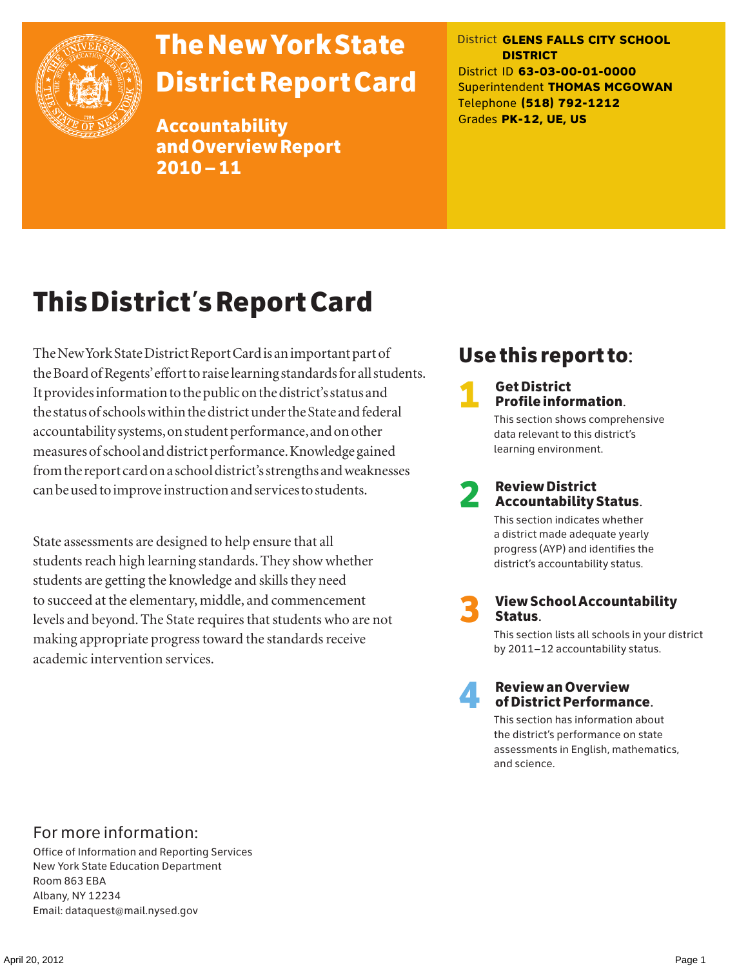

# The New York State District Report Card

Accountability and Overview Report 2010–11

District **GLENS FALLS CITY SCHOOL DISTRICT** District ID **63-03-00-01-0000** Superintendent **THOMAS MCGOWAN** Telephone **(518) 792-1212** Grades **PK-12, UE, US**

# This District's Report Card

The New York State District Report Card is an important part of the Board of Regents' effort to raise learning standards for all students. It provides information to the public on the district's status and the status of schools within the district under the State and federal accountability systems, on student performance, and on other measures of school and district performance. Knowledge gained from the report card on a school district's strengths and weaknesses can be used to improve instruction and services to students.

State assessments are designed to help ensure that all students reach high learning standards. They show whether students are getting the knowledge and skills they need to succeed at the elementary, middle, and commencement levels and beyond. The State requires that students who are not making appropriate progress toward the standards receive academic intervention services.

# Use this report to:

**1** Get District<br>Profile information.

This section shows comprehensive data relevant to this district's learning environment.

# 2 Review District Accountability Status.

This section indicates whether a district made adequate yearly progress (AYP) and identifies the district's accountability status.

3 View School Accountability Status.

This section lists all schools in your district by 2011–12 accountability status.



### 4 Review an Overview of District Performance.

This section has information about the district's performance on state assessments in English, mathematics, and science.

### For more information:

Office of Information and Reporting Services New York State Education Department Room 863 EBA Albany, NY 12234 Email: dataquest@mail.nysed.gov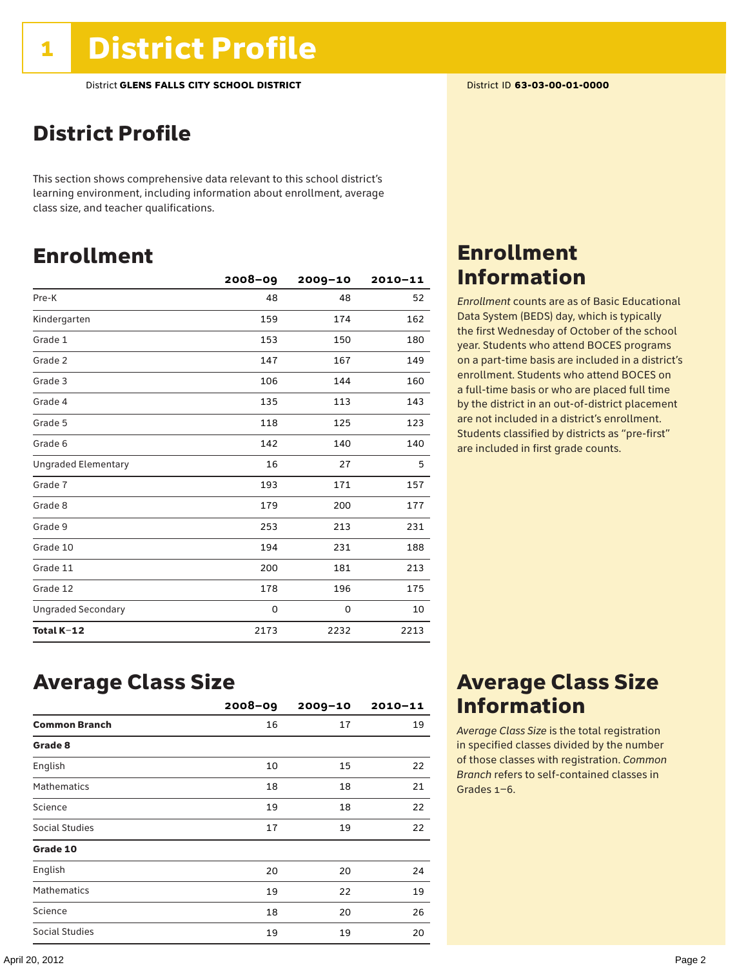# District Profile

This section shows comprehensive data relevant to this school district's learning environment, including information about enrollment, average class size, and teacher qualifications.

### Enrollment

|                            | $2008 - 09$ | 2009-10 | $2010 - 11$ |
|----------------------------|-------------|---------|-------------|
| Pre-K                      | 48          | 48      | 52          |
| Kindergarten               | 159         | 174     | 162         |
| Grade 1                    | 153         | 150     | 180         |
| Grade 2                    | 147         | 167     | 149         |
| Grade 3                    | 106         | 144     | 160         |
| Grade 4                    | 135         | 113     | 143         |
| Grade 5                    | 118         | 125     | 123         |
| Grade 6                    | 142         | 140     | 140         |
| <b>Ungraded Elementary</b> | 16          | 27      | 5           |
| Grade 7                    | 193         | 171     | 157         |
| Grade 8                    | 179         | 200     | 177         |
| Grade 9                    | 253         | 213     | 231         |
| Grade 10                   | 194         | 231     | 188         |
| Grade 11                   | 200         | 181     | 213         |
| Grade 12                   | 178         | 196     | 175         |
| <b>Ungraded Secondary</b>  | 0           | 0       | 10          |
| Total K-12                 | 2173        | 2232    | 2213        |

### Enrollment Information

*Enrollment* counts are as of Basic Educational Data System (BEDS) day, which is typically the first Wednesday of October of the school year. Students who attend BOCES programs on a part-time basis are included in a district's enrollment. Students who attend BOCES on a full-time basis or who are placed full time by the district in an out-of-district placement are not included in a district's enrollment. Students classified by districts as "pre-first" are included in first grade counts.

### Average Class Size

|                      | $2008 - 09$ | $2009 - 10$ | $2010 - 11$ |
|----------------------|-------------|-------------|-------------|
| <b>Common Branch</b> | 16          | 17          | 19          |
| Grade 8              |             |             |             |
| English              | 10          | 15          | 22          |
| <b>Mathematics</b>   | 18          | 18          | 21          |
| Science              | 19          | 18          | 22          |
| Social Studies       | 17          | 19          | 22          |
| Grade 10             |             |             |             |
| English              | 20          | 20          | 24          |
| <b>Mathematics</b>   | 19          | 22          | 19          |
| Science              | 18          | 20          | 26          |
| Social Studies       | 19          | 19          | 20          |

### Average Class Size Information

*Average Class Size* is the total registration in specified classes divided by the number of those classes with registration. *Common Branch* refers to self-contained classes in Grades 1–6.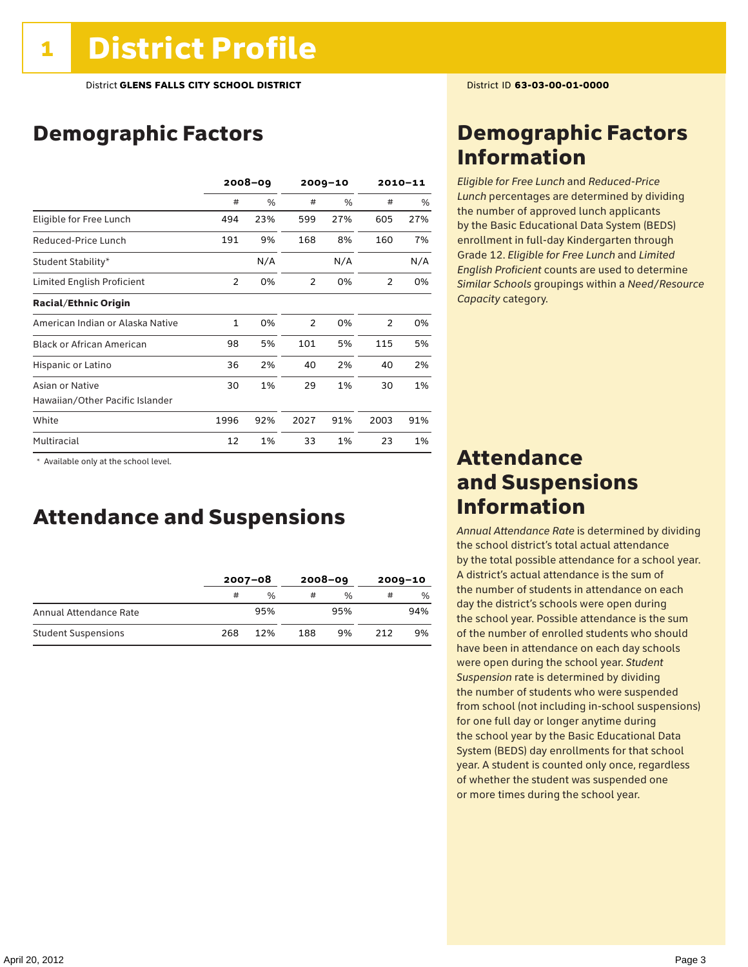# Demographic Factors

|                                  | $2008 - 09$    |     |      | $2009 - 10$ |      | $2010 - 11$ |  |
|----------------------------------|----------------|-----|------|-------------|------|-------------|--|
|                                  | #              | %   | #    | $\%$        | #    | %           |  |
| Eligible for Free Lunch          | 494            | 23% | 599  | 27%         | 605  | 27%         |  |
| Reduced-Price Lunch              | 191            | 9%  | 168  | 8%          | 160  | 7%          |  |
| Student Stability*               |                | N/A |      | N/A         |      | N/A         |  |
| Limited English Proficient       | $\overline{2}$ | 0%  | 2    | 0%          | 2    | 0%          |  |
| <b>Racial/Ethnic Origin</b>      |                |     |      |             |      |             |  |
| American Indian or Alaska Native | 1              | 0%  | 2    | 0%          | 2    | 0%          |  |
| <b>Black or African American</b> | 98             | 5%  | 101  | 5%          | 115  | 5%          |  |
| Hispanic or Latino               | 36             | 2%  | 40   | 2%          | 40   | 2%          |  |
| Asian or Native                  | 30             | 1%  | 29   | 1%          | 30   | 1%          |  |
| Hawaiian/Other Pacific Islander  |                |     |      |             |      |             |  |
| White                            | 1996           | 92% | 2027 | 91%         | 2003 | 91%         |  |
| Multiracial                      | 12             | 1%  | 33   | 1%          | 23   | 1%          |  |

 \* Available only at the school level.

### Attendance and Suspensions

|                            |     | $2007 - 08$   |     | $2008 - 09$   | $2009 - 10$ |     |
|----------------------------|-----|---------------|-----|---------------|-------------|-----|
|                            | #   | $\frac{0}{6}$ |     | $\frac{0}{0}$ | #           | %   |
| Annual Attendance Rate     |     | 95%           |     | 95%           |             | 94% |
| <b>Student Suspensions</b> | 268 | 12%           | 188 | 9%            | 212         | 9%  |

### Demographic Factors Information

*Eligible for Free Lunch* and *Reduced*-*Price Lunch* percentages are determined by dividing the number of approved lunch applicants by the Basic Educational Data System (BEDS) enrollment in full-day Kindergarten through Grade 12. *Eligible for Free Lunch* and *Limited English Proficient* counts are used to determine *Similar Schools* groupings within a *Need*/*Resource Capacity* category.

### Attendance and Suspensions Information

*Annual Attendance Rate* is determined by dividing the school district's total actual attendance by the total possible attendance for a school year. A district's actual attendance is the sum of the number of students in attendance on each day the district's schools were open during the school year. Possible attendance is the sum of the number of enrolled students who should have been in attendance on each day schools were open during the school year. *Student Suspension* rate is determined by dividing the number of students who were suspended from school (not including in-school suspensions) for one full day or longer anytime during the school year by the Basic Educational Data System (BEDS) day enrollments for that school year. A student is counted only once, regardless of whether the student was suspended one or more times during the school year.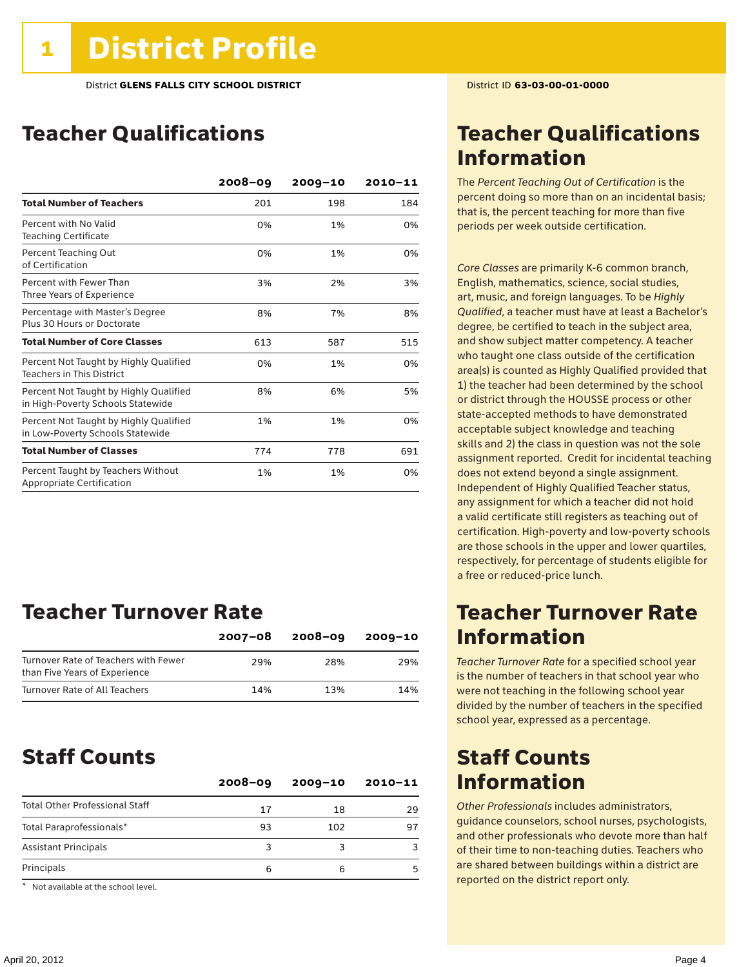# Teacher Qualifications

|                                                                             | $2008 - 09$ | $2009 - 10$ | $2010 - 11$ |
|-----------------------------------------------------------------------------|-------------|-------------|-------------|
| <b>Total Number of Teachers</b>                                             | 201         | 198         | 184         |
| Percent with No Valid<br><b>Teaching Certificate</b>                        | 0%          | 1%          | 0%          |
| Percent Teaching Out<br>of Certification                                    | 0%          | 1%          | 0%          |
| Percent with Fewer Than<br>Three Years of Experience                        | 3%          | 2%          | 3%          |
| Percentage with Master's Degree<br>Plus 30 Hours or Doctorate               | 8%          | 7%          | 8%          |
| <b>Total Number of Core Classes</b>                                         | 613         | 587         | 515         |
| Percent Not Taught by Highly Qualified<br><b>Teachers in This District</b>  | 0%          | 1%          | 0%          |
| Percent Not Taught by Highly Qualified<br>in High-Poverty Schools Statewide | 8%          | 6%          | 5%          |
| Percent Not Taught by Highly Qualified<br>in Low-Poverty Schools Statewide  | 1%          | 1%          | 0%          |
| <b>Total Number of Classes</b>                                              | 774         | 778         | 691         |
| Percent Taught by Teachers Without<br>Appropriate Certification             | 1%          | 1%          | 0%          |

### Teacher Turnover Rate

|                                                                       | $2007 - 08$ | $2008 - 09$ | $2009 - 10$ |
|-----------------------------------------------------------------------|-------------|-------------|-------------|
| Turnover Rate of Teachers with Fewer<br>than Five Years of Experience | 29%         | 28%         | 29%         |
| Turnover Rate of All Teachers                                         | 14%         | 13%         | 14%         |

### Staff Counts

|                                       | $2008 - 09$ | $2009 - 10$ | $2010 - 11$ |
|---------------------------------------|-------------|-------------|-------------|
| <b>Total Other Professional Staff</b> | 17          | 18          | 29          |
| Total Paraprofessionals*              | 93          | 102         | 97          |
| <b>Assistant Principals</b>           | 3           |             |             |
| Principals                            | 6           | 6           |             |

\* Not available at the school level.

## Teacher Qualifications Information

The *Percent Teaching Out of Certification* is the percent doing so more than on an incidental basis; that is, the percent teaching for more than five periods per week outside certification.

*Core Classes* are primarily K-6 common branch, English, mathematics, science, social studies, art, music, and foreign languages. To be *Highly Qualified*, a teacher must have at least a Bachelor's degree, be certified to teach in the subject area, and show subject matter competency. A teacher who taught one class outside of the certification area(s) is counted as Highly Qualified provided that 1) the teacher had been determined by the school or district through the HOUSSE process or other state-accepted methods to have demonstrated acceptable subject knowledge and teaching skills and 2) the class in question was not the sole assignment reported. Credit for incidental teaching does not extend beyond a single assignment. Independent of Highly Qualified Teacher status, any assignment for which a teacher did not hold a valid certificate still registers as teaching out of certification. High-poverty and low-poverty schools are those schools in the upper and lower quartiles, respectively, for percentage of students eligible for a free or reduced-price lunch.

### Teacher Turnover Rate Information

*Teacher Turnover Rate* for a specified school year is the number of teachers in that school year who were not teaching in the following school year divided by the number of teachers in the specified school year, expressed as a percentage.

### Staff Counts Information

*Other Professionals* includes administrators, guidance counselors, school nurses, psychologists, and other professionals who devote more than half of their time to non-teaching duties. Teachers who are shared between buildings within a district are reported on the district report only.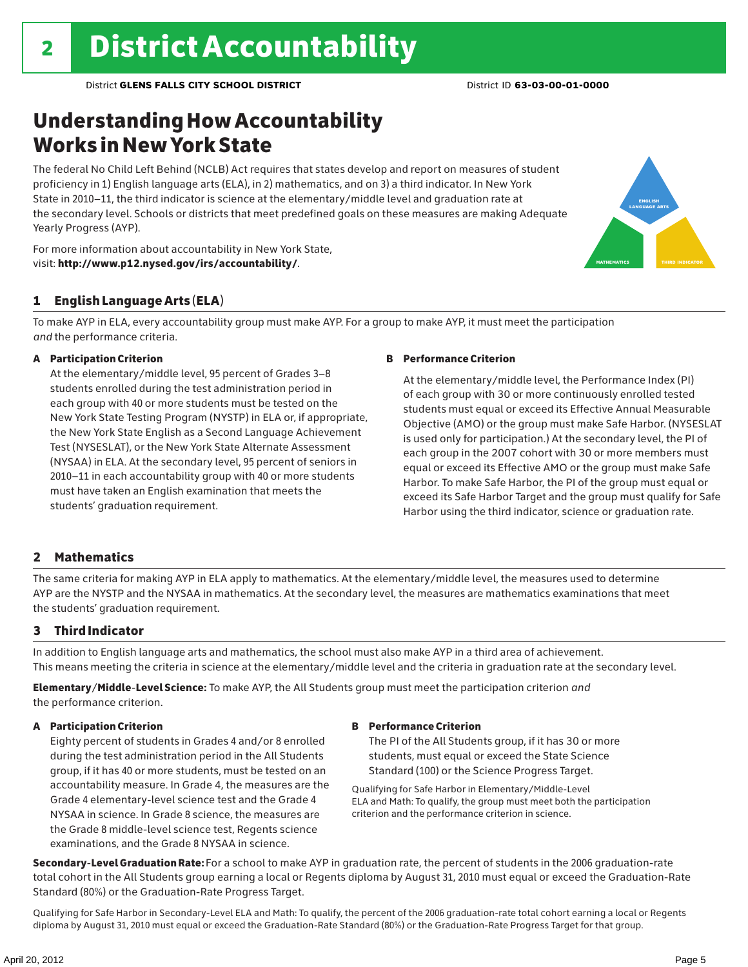# Understanding How Accountability Works in New York State

The federal No Child Left Behind (NCLB) Act requires that states develop and report on measures of student proficiency in 1) English language arts (ELA), in 2) mathematics, and on 3) a third indicator. In New York State in 2010–11, the third indicator is science at the elementary/middle level and graduation rate at the secondary level. Schools or districts that meet predefined goals on these measures are making Adequate Yearly Progress (AYP).



### 1 English Language Arts (ELA)

To make AYP in ELA, every accountability group must make AYP. For a group to make AYP, it must meet the participation *and* the performance criteria.

### A Participation Criterion

At the elementary/middle level, 95 percent of Grades 3–8 students enrolled during the test administration period in each group with 40 or more students must be tested on the New York State Testing Program (NYSTP) in ELA or, if appropriate, the New York State English as a Second Language Achievement Test (NYSESLAT), or the New York State Alternate Assessment (NYSAA) in ELA. At the secondary level, 95 percent of seniors in 2010–11 in each accountability group with 40 or more students must have taken an English examination that meets the students' graduation requirement.

### B Performance Criterion

At the elementary/middle level, the Performance Index (PI) of each group with 30 or more continuously enrolled tested students must equal or exceed its Effective Annual Measurable Objective (AMO) or the group must make Safe Harbor. (NYSESLAT is used only for participation.) At the secondary level, the PI of each group in the 2007 cohort with 30 or more members must equal or exceed its Effective AMO or the group must make Safe Harbor. To make Safe Harbor, the PI of the group must equal or exceed its Safe Harbor Target and the group must qualify for Safe Harbor using the third indicator, science or graduation rate.

english language arts

MATHEMATICS | THIRD INDICATOR

### 2 Mathematics

The same criteria for making AYP in ELA apply to mathematics. At the elementary/middle level, the measures used to determine AYP are the NYSTP and the NYSAA in mathematics. At the secondary level, the measures are mathematics examinations that meet the students' graduation requirement.

### 3 Third Indicator

In addition to English language arts and mathematics, the school must also make AYP in a third area of achievement. This means meeting the criteria in science at the elementary/middle level and the criteria in graduation rate at the secondary level.

Elementary/Middle-Level Science: To make AYP, the All Students group must meet the participation criterion *and* the performance criterion.

### A Participation Criterion

Eighty percent of students in Grades 4 and/or 8 enrolled during the test administration period in the All Students group, if it has 40 or more students, must be tested on an accountability measure. In Grade 4, the measures are the Grade 4 elementary-level science test and the Grade 4 NYSAA in science. In Grade 8 science, the measures are the Grade 8 middle-level science test, Regents science examinations, and the Grade 8 NYSAA in science.

#### B Performance Criterion

The PI of the All Students group, if it has 30 or more students, must equal or exceed the State Science Standard (100) or the Science Progress Target.

Qualifying for Safe Harbor in Elementary/Middle-Level ELA and Math: To qualify, the group must meet both the participation criterion and the performance criterion in science.

Secondary-Level Graduation Rate: For a school to make AYP in graduation rate, the percent of students in the 2006 graduation-rate total cohort in the All Students group earning a local or Regents diploma by August 31, 2010 must equal or exceed the Graduation-Rate Standard (80%) or the Graduation-Rate Progress Target.

Qualifying for Safe Harbor in Secondary-Level ELA and Math: To qualify, the percent of the 2006 graduation-rate total cohort earning a local or Regents diploma by August 31, 2010 must equal or exceed the Graduation-Rate Standard (80%) or the Graduation-Rate Progress Target for that group.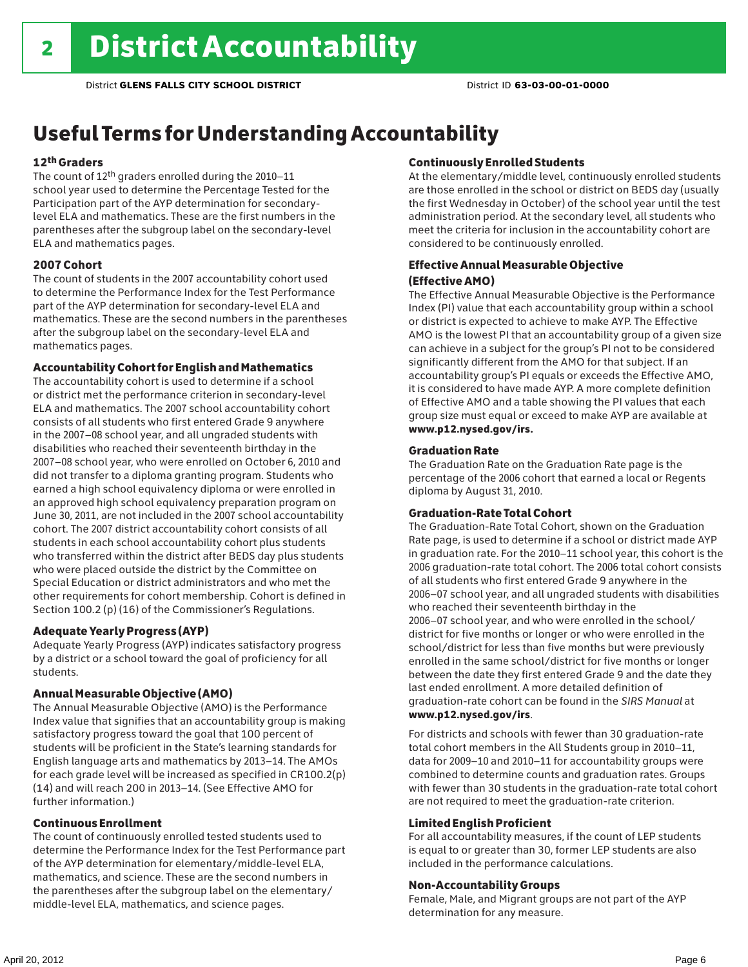### Useful Terms for Understanding Accountability

### 12th Graders

The count of 12th graders enrolled during the 2010–11 school year used to determine the Percentage Tested for the Participation part of the AYP determination for secondarylevel ELA and mathematics. These are the first numbers in the parentheses after the subgroup label on the secondary-level ELA and mathematics pages.

#### 2007 Cohort

The count of students in the 2007 accountability cohort used to determine the Performance Index for the Test Performance part of the AYP determination for secondary-level ELA and mathematics. These are the second numbers in the parentheses after the subgroup label on the secondary-level ELA and mathematics pages.

#### Accountability Cohort for English and Mathematics

The accountability cohort is used to determine if a school or district met the performance criterion in secondary-level ELA and mathematics. The 2007 school accountability cohort consists of all students who first entered Grade 9 anywhere in the 2007–08 school year, and all ungraded students with disabilities who reached their seventeenth birthday in the 2007–08 school year, who were enrolled on October 6, 2010 and did not transfer to a diploma granting program. Students who earned a high school equivalency diploma or were enrolled in an approved high school equivalency preparation program on June 30, 2011, are not included in the 2007 school accountability cohort. The 2007 district accountability cohort consists of all students in each school accountability cohort plus students who transferred within the district after BEDS day plus students who were placed outside the district by the Committee on Special Education or district administrators and who met the other requirements for cohort membership. Cohort is defined in Section 100.2 (p) (16) of the Commissioner's Regulations.

#### Adequate Yearly Progress (AYP)

Adequate Yearly Progress (AYP) indicates satisfactory progress by a district or a school toward the goal of proficiency for all students.

#### Annual Measurable Objective (AMO)

The Annual Measurable Objective (AMO) is the Performance Index value that signifies that an accountability group is making satisfactory progress toward the goal that 100 percent of students will be proficient in the State's learning standards for English language arts and mathematics by 2013–14. The AMOs for each grade level will be increased as specified in CR100.2(p) (14) and will reach 200 in 2013–14. (See Effective AMO for further information.)

#### Continuous Enrollment

The count of continuously enrolled tested students used to determine the Performance Index for the Test Performance part of the AYP determination for elementary/middle-level ELA, mathematics, and science. These are the second numbers in the parentheses after the subgroup label on the elementary/ middle-level ELA, mathematics, and science pages.

#### Continuously Enrolled Students

At the elementary/middle level, continuously enrolled students are those enrolled in the school or district on BEDS day (usually the first Wednesday in October) of the school year until the test administration period. At the secondary level, all students who meet the criteria for inclusion in the accountability cohort are considered to be continuously enrolled.

#### Effective Annual Measurable Objective (Effective AMO)

The Effective Annual Measurable Objective is the Performance Index (PI) value that each accountability group within a school or district is expected to achieve to make AYP. The Effective AMO is the lowest PI that an accountability group of a given size can achieve in a subject for the group's PI not to be considered significantly different from the AMO for that subject. If an accountability group's PI equals or exceeds the Effective AMO, it is considered to have made AYP. A more complete definition of Effective AMO and a table showing the PI values that each group size must equal or exceed to make AYP are available at www.p12.nysed.gov/irs.

#### Graduation Rate

The Graduation Rate on the Graduation Rate page is the percentage of the 2006 cohort that earned a local or Regents diploma by August 31, 2010.

#### Graduation-Rate Total Cohort

The Graduation-Rate Total Cohort, shown on the Graduation Rate page, is used to determine if a school or district made AYP in graduation rate. For the 2010–11 school year, this cohort is the 2006 graduation-rate total cohort. The 2006 total cohort consists of all students who first entered Grade 9 anywhere in the 2006–07 school year, and all ungraded students with disabilities who reached their seventeenth birthday in the 2006–07 school year, and who were enrolled in the school/ district for five months or longer or who were enrolled in the school/district for less than five months but were previously enrolled in the same school/district for five months or longer between the date they first entered Grade 9 and the date they last ended enrollment. A more detailed definition of graduation-rate cohort can be found in the *SIRS Manual* at www.p12.nysed.gov/irs.

For districts and schools with fewer than 30 graduation-rate total cohort members in the All Students group in 2010–11, data for 2009–10 and 2010–11 for accountability groups were combined to determine counts and graduation rates. Groups with fewer than 30 students in the graduation-rate total cohort are not required to meet the graduation-rate criterion.

#### Limited English Proficient

For all accountability measures, if the count of LEP students is equal to or greater than 30, former LEP students are also included in the performance calculations.

#### Non-Accountability Groups

Female, Male, and Migrant groups are not part of the AYP determination for any measure.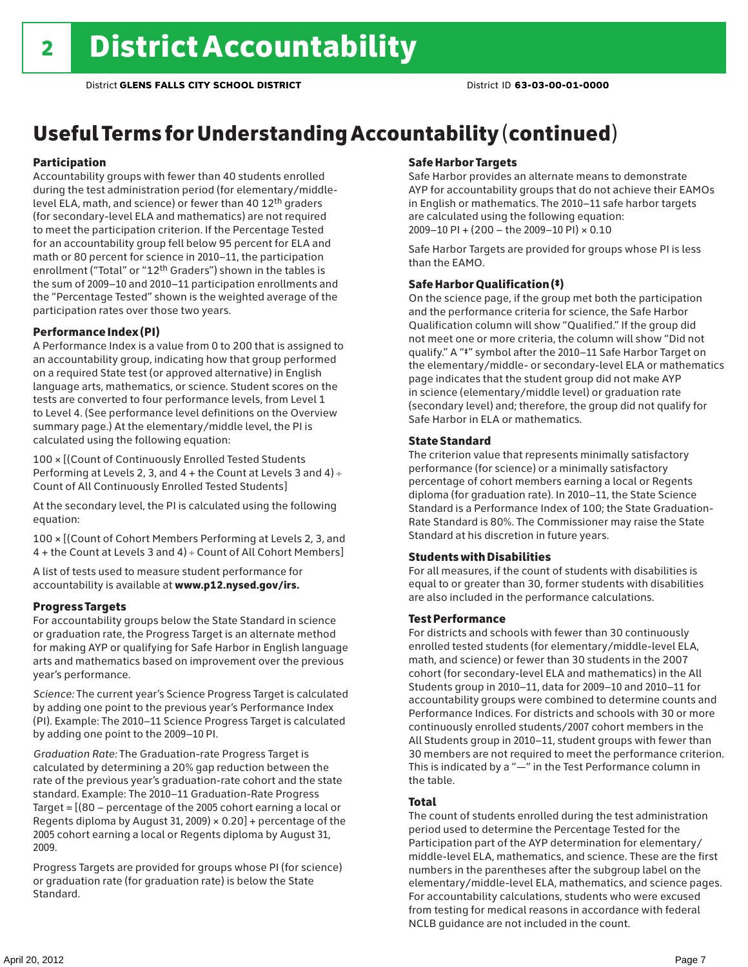# Useful Terms for Understanding Accountability (continued)

### Participation

Accountability groups with fewer than 40 students enrolled during the test administration period (for elementary/middlelevel ELA, math, and science) or fewer than 40 12th graders (for secondary-level ELA and mathematics) are not required to meet the participation criterion. If the Percentage Tested for an accountability group fell below 95 percent for ELA and math or 80 percent for science in 2010–11, the participation enrollment ("Total" or "12th Graders") shown in the tables is the sum of 2009–10 and 2010–11 participation enrollments and the "Percentage Tested" shown is the weighted average of the participation rates over those two years.

#### Performance Index (PI)

A Performance Index is a value from 0 to 200 that is assigned to an accountability group, indicating how that group performed on a required State test (or approved alternative) in English language arts, mathematics, or science. Student scores on the tests are converted to four performance levels, from Level 1 to Level 4. (See performance level definitions on the Overview summary page.) At the elementary/middle level, the PI is calculated using the following equation:

100 × [(Count of Continuously Enrolled Tested Students Performing at Levels 2, 3, and 4 + the Count at Levels 3 and 4) Count of All Continuously Enrolled Tested Students]

At the secondary level, the PI is calculated using the following equation:

100 × [(Count of Cohort Members Performing at Levels 2, 3, and 4 + the Count at Levels 3 and 4) Count of All Cohort Members]

A list of tests used to measure student performance for accountability is available at www.p12.nysed.gov/irs.

### Progress Targets

For accountability groups below the State Standard in science or graduation rate, the Progress Target is an alternate method for making AYP or qualifying for Safe Harbor in English language arts and mathematics based on improvement over the previous year's performance.

*Science:* The current year's Science Progress Target is calculated by adding one point to the previous year's Performance Index (PI). Example: The 2010–11 Science Progress Target is calculated by adding one point to the 2009–10 PI.

*Graduation Rate:* The Graduation-rate Progress Target is calculated by determining a 20% gap reduction between the rate of the previous year's graduation-rate cohort and the state standard. Example: The 2010–11 Graduation-Rate Progress Target = [(80 – percentage of the 2005 cohort earning a local or Regents diploma by August 31, 2009)  $\times$  0.20] + percentage of the 2005 cohort earning a local or Regents diploma by August 31, 2009.

Progress Targets are provided for groups whose PI (for science) or graduation rate (for graduation rate) is below the State Standard.

#### Safe Harbor Targets

Safe Harbor provides an alternate means to demonstrate AYP for accountability groups that do not achieve their EAMOs in English or mathematics. The 2010–11 safe harbor targets are calculated using the following equation: 2009–10 PI + (200 – the 2009–10 PI) × 0.10

Safe Harbor Targets are provided for groups whose PI is less than the EAMO.

### Safe Harbor Qualification (‡)

On the science page, if the group met both the participation and the performance criteria for science, the Safe Harbor Qualification column will show "Qualified." If the group did not meet one or more criteria, the column will show "Did not qualify." A "‡" symbol after the 2010–11 Safe Harbor Target on the elementary/middle- or secondary-level ELA or mathematics page indicates that the student group did not make AYP in science (elementary/middle level) or graduation rate (secondary level) and; therefore, the group did not qualify for Safe Harbor in ELA or mathematics.

#### State Standard

The criterion value that represents minimally satisfactory performance (for science) or a minimally satisfactory percentage of cohort members earning a local or Regents diploma (for graduation rate). In 2010–11, the State Science Standard is a Performance Index of 100; the State Graduation-Rate Standard is 80%. The Commissioner may raise the State Standard at his discretion in future years.

#### Students with Disabilities

For all measures, if the count of students with disabilities is equal to or greater than 30, former students with disabilities are also included in the performance calculations.

#### Test Performance

For districts and schools with fewer than 30 continuously enrolled tested students (for elementary/middle-level ELA, math, and science) or fewer than 30 students in the 2007 cohort (for secondary-level ELA and mathematics) in the All Students group in 2010–11, data for 2009–10 and 2010–11 for accountability groups were combined to determine counts and Performance Indices. For districts and schools with 30 or more continuously enrolled students/2007 cohort members in the All Students group in 2010–11, student groups with fewer than 30 members are not required to meet the performance criterion. This is indicated by a "—" in the Test Performance column in the table.

### Total

The count of students enrolled during the test administration period used to determine the Percentage Tested for the Participation part of the AYP determination for elementary/ middle-level ELA, mathematics, and science. These are the first numbers in the parentheses after the subgroup label on the elementary/middle-level ELA, mathematics, and science pages. For accountability calculations, students who were excused from testing for medical reasons in accordance with federal NCLB guidance are not included in the count.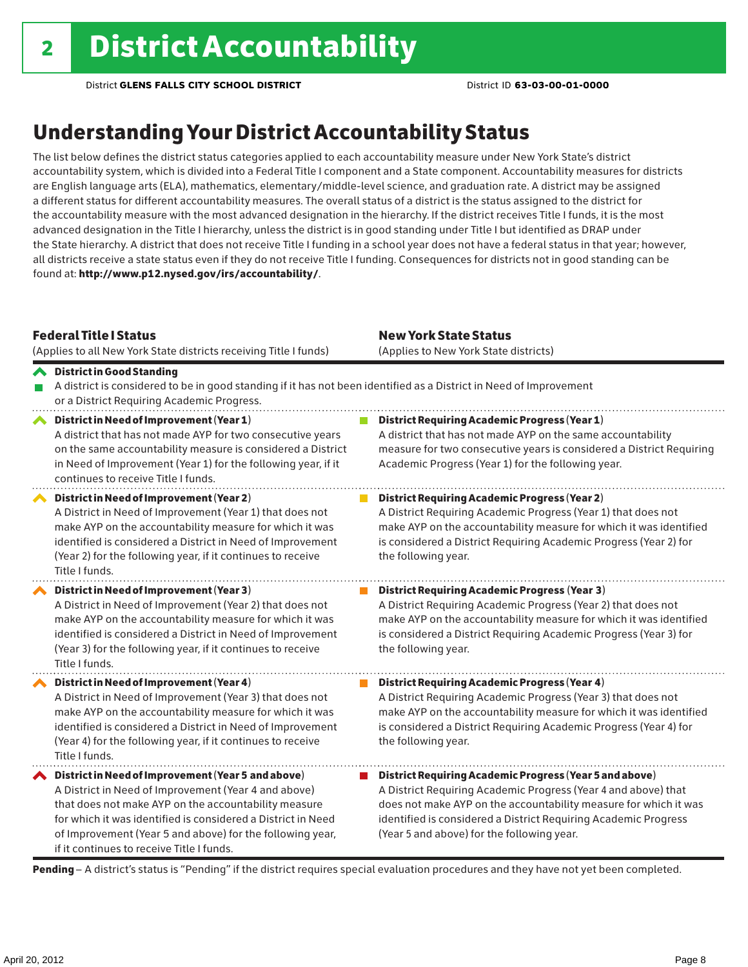### Understanding Your District Accountability Status

The list below defines the district status categories applied to each accountability measure under New York State's district accountability system, which is divided into a Federal Title I component and a State component. Accountability measures for districts are English language arts (ELA), mathematics, elementary/middle-level science, and graduation rate. A district may be assigned a different status for different accountability measures. The overall status of a district is the status assigned to the district for the accountability measure with the most advanced designation in the hierarchy. If the district receives Title I funds, it is the most advanced designation in the Title I hierarchy, unless the district is in good standing under Title I but identified as DRAP under the State hierarchy. A district that does not receive Title I funding in a school year does not have a federal status in that year; however, all districts receive a state status even if they do not receive Title I funding. Consequences for districts not in good standing can be found at: http://www.p12.nysed.gov/irs/accountability/.

| <b>Federal Title I Status</b><br>(Applies to all New York State districts receiving Title I funds)                                                                                                                                                                                                                                             | <b>New York State Status</b><br>(Applies to New York State districts)                                                                                                                                                                                                                                          |  |  |  |  |
|------------------------------------------------------------------------------------------------------------------------------------------------------------------------------------------------------------------------------------------------------------------------------------------------------------------------------------------------|----------------------------------------------------------------------------------------------------------------------------------------------------------------------------------------------------------------------------------------------------------------------------------------------------------------|--|--|--|--|
| <b>◆</b> District in Good Standing<br>A district is considered to be in good standing if it has not been identified as a District in Need of Improvement<br>or a District Requiring Academic Progress.                                                                                                                                         |                                                                                                                                                                                                                                                                                                                |  |  |  |  |
| District in Need of Improvement (Year 1)<br>∧<br>A district that has not made AYP for two consecutive years<br>on the same accountability measure is considered a District<br>in Need of Improvement (Year 1) for the following year, if it<br>continues to receive Title I funds.                                                             | <b>District Requiring Academic Progress (Year 1)</b><br>A district that has not made AYP on the same accountability<br>measure for two consecutive years is considered a District Requiring<br>Academic Progress (Year 1) for the following year.                                                              |  |  |  |  |
| District in Need of Improvement (Year 2)<br>A District in Need of Improvement (Year 1) that does not<br>make AYP on the accountability measure for which it was<br>identified is considered a District in Need of Improvement<br>(Year 2) for the following year, if it continues to receive<br>Title I funds.                                 | <b>District Requiring Academic Progress (Year 2)</b><br>A District Requiring Academic Progress (Year 1) that does not<br>make AYP on the accountability measure for which it was identified<br>is considered a District Requiring Academic Progress (Year 2) for<br>the following year.                        |  |  |  |  |
| District in Need of Improvement (Year 3)<br>A District in Need of Improvement (Year 2) that does not<br>make AYP on the accountability measure for which it was<br>identified is considered a District in Need of Improvement<br>(Year 3) for the following year, if it continues to receive<br>Title I funds.                                 | <b>District Requiring Academic Progress (Year 3)</b><br>A District Requiring Academic Progress (Year 2) that does not<br>make AYP on the accountability measure for which it was identified<br>is considered a District Requiring Academic Progress (Year 3) for<br>the following year.                        |  |  |  |  |
| District in Need of Improvement (Year 4)<br>A District in Need of Improvement (Year 3) that does not<br>make AYP on the accountability measure for which it was<br>identified is considered a District in Need of Improvement<br>(Year 4) for the following year, if it continues to receive<br>Title I funds.                                 | <b>District Requiring Academic Progress (Year 4)</b><br>A District Requiring Academic Progress (Year 3) that does not<br>make AYP on the accountability measure for which it was identified<br>is considered a District Requiring Academic Progress (Year 4) for<br>the following year.                        |  |  |  |  |
| ◆ District in Need of Improvement (Year 5 and above)<br>A District in Need of Improvement (Year 4 and above)<br>that does not make AYP on the accountability measure<br>for which it was identified is considered a District in Need<br>of Improvement (Year 5 and above) for the following year,<br>if it continues to receive Title I funds. | District Requiring Academic Progress (Year 5 and above)<br>A District Requiring Academic Progress (Year 4 and above) that<br>does not make AYP on the accountability measure for which it was<br>identified is considered a District Requiring Academic Progress<br>(Year 5 and above) for the following year. |  |  |  |  |

Pending - A district's status is "Pending" if the district requires special evaluation procedures and they have not yet been completed.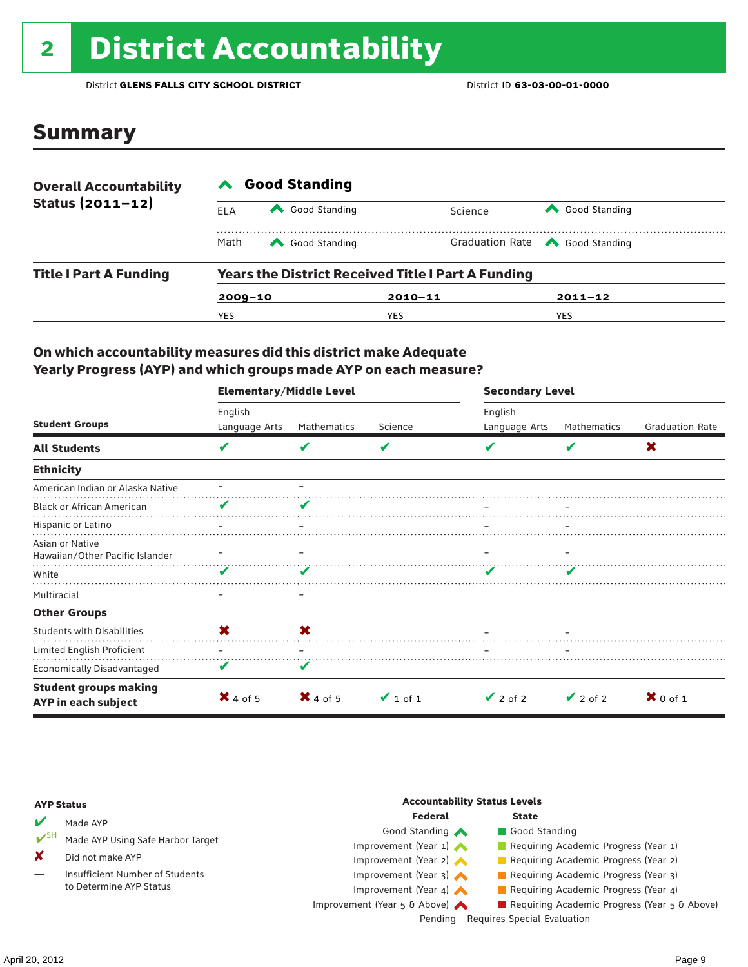# 2 District Accountability

District **GLENS FALLS CITY SCHOOL DISTRICT** District ID **63-03-00-01-0000**

### Summary

| <b>Overall Accountability</b> | <b>Good Standing</b>                                      |                          |             |                                       |  |  |  |
|-------------------------------|-----------------------------------------------------------|--------------------------|-------------|---------------------------------------|--|--|--|
| Status $(2011 - 12)$          | ELA                                                       | Good Standing<br>Science |             | Good Standing                         |  |  |  |
|                               | Math                                                      | Good Standing            |             | Graduation Rate <a> Good Standing</a> |  |  |  |
| <b>Title I Part A Funding</b> | <b>Years the District Received Title I Part A Funding</b> |                          |             |                                       |  |  |  |
|                               | $2009 - 10$                                               |                          | $2010 - 11$ | $2011 - 12$                           |  |  |  |
|                               | YES                                                       |                          | YES         | YES                                   |  |  |  |

### On which accountability measures did this district make Adequate Yearly Progress (AYP) and which groups made AYP on each measure?

|                                                     | <b>Elementary/Middle Level</b> |                     |               | <b>Secondary Level</b> |               |                        |
|-----------------------------------------------------|--------------------------------|---------------------|---------------|------------------------|---------------|------------------------|
|                                                     | English                        |                     |               | English                |               |                        |
| <b>Student Groups</b>                               | Language Arts                  | Mathematics         | Science       | Language Arts          | Mathematics   | <b>Graduation Rate</b> |
| <b>All Students</b>                                 | V                              | v                   | V             |                        | V             | X                      |
| <b>Ethnicity</b>                                    |                                |                     |               |                        |               |                        |
| American Indian or Alaska Native                    |                                |                     |               |                        |               |                        |
| <b>Black or African American</b>                    | V                              |                     |               |                        |               |                        |
| Hispanic or Latino                                  |                                |                     |               |                        |               |                        |
| Asian or Native<br>Hawaiian/Other Pacific Islander  |                                |                     |               |                        |               |                        |
| White                                               | v                              |                     |               |                        |               |                        |
| Multiracial                                         |                                |                     |               |                        |               |                        |
| <b>Other Groups</b>                                 |                                |                     |               |                        |               |                        |
| <b>Students with Disabilities</b>                   | X                              | X                   |               |                        |               |                        |
| Limited English Proficient                          |                                |                     |               |                        |               |                        |
| <b>Economically Disadvantaged</b>                   | V                              | V                   |               |                        |               |                        |
| <b>Student groups making</b><br>AYP in each subject | $\mathsf{X}$ 4 of 5            | $\mathsf{X}$ 4 of 5 | $\vee$ 1 of 1 | $\vee$ 2 of 2          | $\vee$ 2 of 2 | $\mathbf{X}$ 0 of 1    |

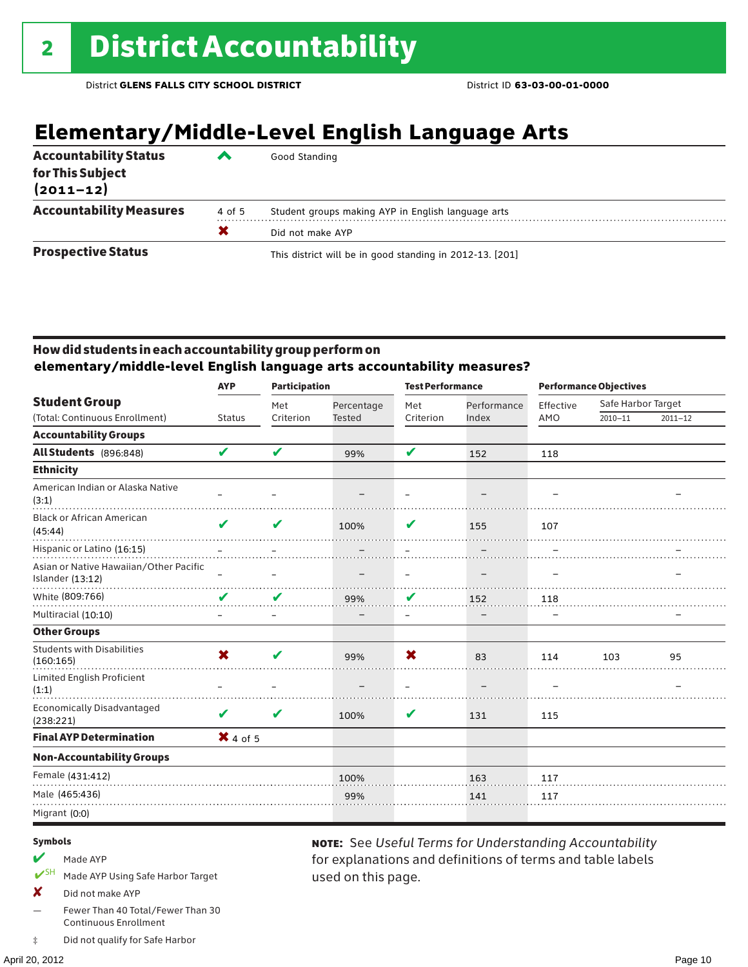# **Elementary/Middle-Level English Language Arts**

| <b>Accountability Status</b><br>for This Subject<br>$(2011 - 12)$ | ‴      | Good Standing                                            |
|-------------------------------------------------------------------|--------|----------------------------------------------------------|
| <b>Accountability Measures</b>                                    | 4 of 5 | Student groups making AYP in English language arts       |
|                                                                   | X      | Did not make AYP                                         |
| <b>Prospective Status</b>                                         |        | This district will be in good standing in 2012-13. [201] |

### How did students in each accountability group perform on **elementary/middle-level English language arts accountability measures?**

|                                                            | <b>Participation</b><br><b>AYP</b> |           | <b>Test Performance</b>  |                          |             | <b>Performance Objectives</b> |                    |             |
|------------------------------------------------------------|------------------------------------|-----------|--------------------------|--------------------------|-------------|-------------------------------|--------------------|-------------|
| <b>Student Group</b>                                       |                                    | Met       | Percentage               | Met                      | Performance | Effective                     | Safe Harbor Target |             |
| (Total: Continuous Enrollment)                             | <b>Status</b>                      | Criterion | <b>Tested</b>            | Criterion                | Index       | AMO                           | $2010 - 11$        | $2011 - 12$ |
| <b>Accountability Groups</b>                               |                                    |           |                          |                          |             |                               |                    |             |
| All Students (896:848)                                     | V                                  | V         | 99%                      | V                        | 152         | 118                           |                    |             |
| <b>Ethnicity</b>                                           |                                    |           |                          |                          |             |                               |                    |             |
| American Indian or Alaska Native<br>(3:1)                  |                                    |           |                          |                          |             |                               |                    |             |
| <b>Black or African American</b><br>(45:44)                | ✔                                  | V         | 100%                     | V                        | 155         | 107                           |                    |             |
| Hispanic or Latino (16:15)                                 |                                    |           |                          |                          |             |                               |                    |             |
| Asian or Native Hawaiian/Other Pacific<br>Islander (13:12) |                                    |           | $\overline{\phantom{m}}$ | $\overline{\phantom{m}}$ |             | $\overline{\phantom{0}}$      |                    |             |
| White (809:766)                                            | V                                  | V         | 99%                      | V                        | 152         | 118                           |                    |             |
| Multiracial (10:10)                                        | $\qquad \qquad -$                  | —         |                          | $\overline{\phantom{m}}$ |             |                               |                    |             |
| <b>Other Groups</b>                                        |                                    |           |                          |                          |             |                               |                    |             |
| <b>Students with Disabilities</b><br>(160:165)             | X                                  | ✔         | 99%                      | X                        | 83          | 114                           | 103                | 95          |
| <b>Limited English Proficient</b><br>(1:1)                 |                                    |           |                          |                          |             |                               |                    |             |
| Economically Disadvantaged<br>(238:221)                    | V                                  | V         | 100%                     | V                        | 131         | 115                           |                    |             |
| <b>Final AYP Determination</b>                             | $X$ 4 of 5                         |           |                          |                          |             |                               |                    |             |
| <b>Non-Accountability Groups</b>                           |                                    |           |                          |                          |             |                               |                    |             |
| Female (431:412)                                           |                                    |           | 100%                     |                          | 163         | 117                           |                    |             |
| Male (465:436)                                             |                                    |           | 99%                      |                          | 141         | 117                           |                    |             |
| Migrant (0:0)                                              |                                    |           |                          |                          |             |                               |                    |             |
|                                                            |                                    |           |                          |                          |             |                               |                    |             |

used on this page.

note: See *Useful Terms for Understanding Accountability*  for explanations and definitions of terms and table labels

#### Symbols

- $M$  Made AYP
- ✔SH Made AYP Using Safe Harbor Target
- X Did not make AYP
- Fewer Than 40 Total/Fewer Than 30 Continuous Enrollment
- ‡ Did not qualify for Safe Harbor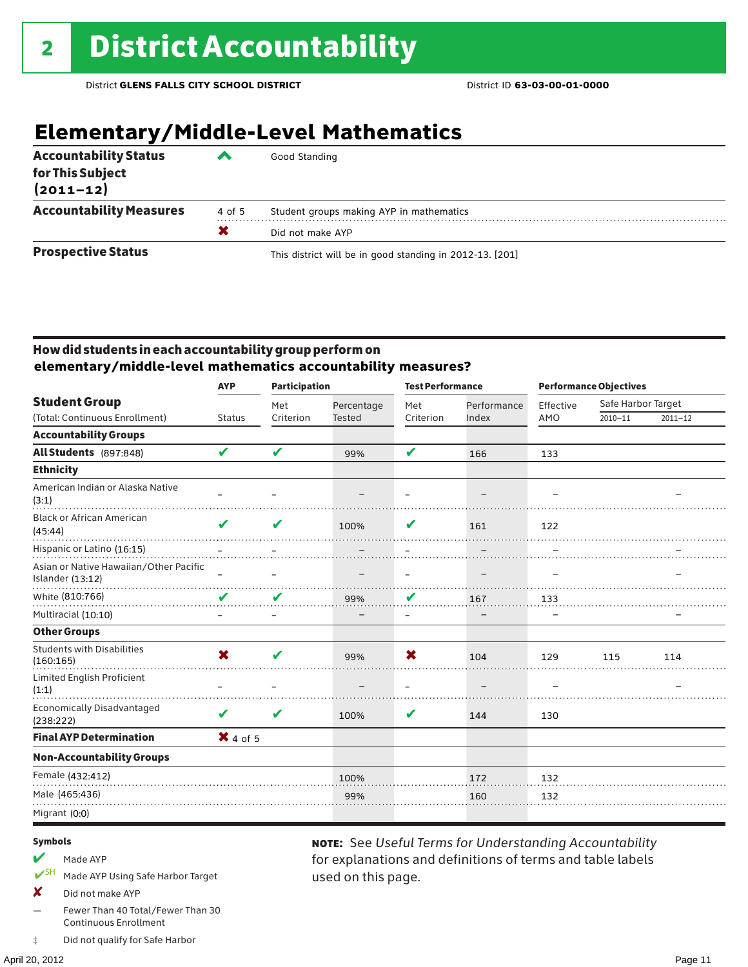# **Elementary/Middle-Level Mathematics**

| <b>Accountability Status</b><br>for This Subject<br>$(2011 - 12)$ | ◚ | Good Standing                                            |
|-------------------------------------------------------------------|---|----------------------------------------------------------|
| <b>Accountability Measures</b><br>4 of 5                          |   | Student groups making AYP in mathematics                 |
|                                                                   | X | Did not make AYP                                         |
| <b>Prospective Status</b>                                         |   | This district will be in good standing in 2012-13. [201] |

### How did students in each accountability group perform on **elementary/middle-level mathematics accountability measures?**

|                                                            | <b>AYP</b>        | <b>Participation</b> |                          | <b>Test Performance</b>  |                   | <b>Performance Objectives</b> |                    |             |
|------------------------------------------------------------|-------------------|----------------------|--------------------------|--------------------------|-------------------|-------------------------------|--------------------|-------------|
| <b>Student Group</b>                                       |                   | Met                  | Percentage               | Met                      | Performance       | Effective                     | Safe Harbor Target |             |
| (Total: Continuous Enrollment)                             | <b>Status</b>     | Criterion            | <b>Tested</b>            | Criterion                | Index             | AMO                           | $2010 - 11$        | $2011 - 12$ |
| <b>Accountability Groups</b>                               |                   |                      |                          |                          |                   |                               |                    |             |
| All Students (897:848)                                     | V                 | V                    | 99%                      | V                        | 166               | 133                           |                    |             |
| <b>Ethnicity</b>                                           |                   |                      |                          |                          |                   |                               |                    |             |
| American Indian or Alaska Native<br>(3:1)                  |                   |                      |                          |                          |                   |                               |                    |             |
| <b>Black or African American</b><br>(45:44)                | ✔                 | V                    | 100%                     | V                        | 161               | 122                           |                    |             |
| Hispanic or Latino (16:15)                                 |                   |                      |                          |                          |                   |                               |                    |             |
| Asian or Native Hawaiian/Other Pacific<br>Islander (13:12) | $\qquad \qquad$   |                      | $\overline{\phantom{m}}$ | $\overline{\phantom{m}}$ | $\qquad \qquad -$ | -                             |                    |             |
| White (810:766)                                            | V                 | V                    | 99%                      | V                        | 167               | 133                           |                    |             |
| Multiracial (10:10)                                        | $\qquad \qquad -$ |                      |                          | $\overline{\phantom{m}}$ |                   |                               |                    |             |
| <b>Other Groups</b>                                        |                   |                      |                          |                          |                   |                               |                    |             |
| <b>Students with Disabilities</b><br>(160:165)             | X                 | ✔                    | 99%                      | X                        | 104               | 129                           | 115                | 114         |
| Limited English Proficient<br>(1:1)                        |                   |                      |                          |                          |                   |                               |                    |             |
| Economically Disadvantaged<br>(238:222)                    | V                 | V                    | 100%                     | V                        | 144               | 130                           |                    |             |
| <b>Final AYP Determination</b>                             | $X$ 4 of 5        |                      |                          |                          |                   |                               |                    |             |
| <b>Non-Accountability Groups</b>                           |                   |                      |                          |                          |                   |                               |                    |             |
| Female (432:412)                                           |                   |                      | 100%                     |                          | 172               | 132                           |                    |             |
| Male (465:436)                                             |                   |                      | 99%                      |                          | 160               | 132                           |                    |             |
| Migrant (0:0)                                              |                   |                      |                          |                          |                   |                               |                    |             |
|                                                            |                   |                      |                          |                          |                   |                               |                    |             |

used on this page.

note: See *Useful Terms for Understanding Accountability*  for explanations and definitions of terms and table labels

#### Symbols

- $M$  Made AYP
- ✔SH Made AYP Using Safe Harbor Target
- X Did not make AYP
- Fewer Than 40 Total/Fewer Than 30 Continuous Enrollment
- ‡ Did not qualify for Safe Harbor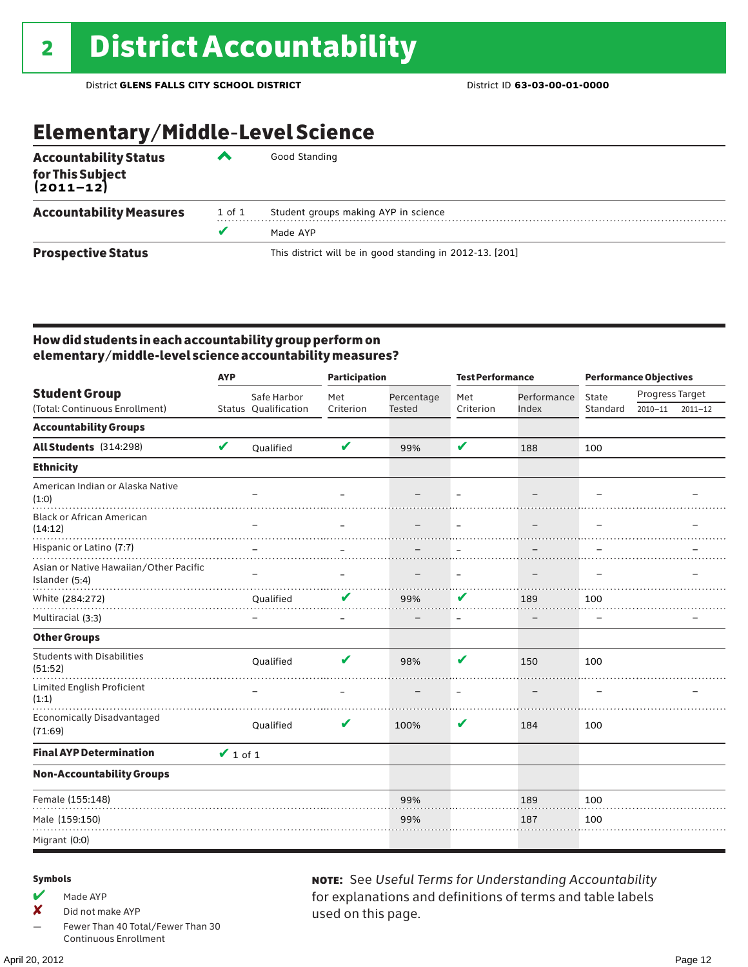## Elementary/Middle-Level Science

| <b>Accountability Status</b><br>for This Subject<br>(2011–12) | ▰      | Good Standing                                            |
|---------------------------------------------------------------|--------|----------------------------------------------------------|
| <b>Accountability Measures</b>                                | 1 of 1 | Student groups making AYP in science                     |
|                                                               | v      | Made AYP                                                 |
| <b>Prospective Status</b>                                     |        | This district will be in good standing in 2012-13. [201] |

### How did students in each accountability group perform on elementary/middle-level science accountability measures?

| <b>AYP</b>                                               |               |                      | <b>Participation</b> |                          | <b>Test Performance</b> |                          | <b>Performance Objectives</b> |                 |             |
|----------------------------------------------------------|---------------|----------------------|----------------------|--------------------------|-------------------------|--------------------------|-------------------------------|-----------------|-------------|
| <b>Student Group</b>                                     |               | Safe Harbor          | Met                  | Percentage               | Met                     | Performance              | State                         | Progress Target |             |
| (Total: Continuous Enrollment)                           |               | Status Qualification | Criterion            | <b>Tested</b>            | Criterion               | Index                    | Standard                      | $2010 - 11$     | $2011 - 12$ |
| <b>Accountability Groups</b>                             |               |                      |                      |                          |                         |                          |                               |                 |             |
| All Students (314:298)                                   | V             | <b>Oualified</b>     | V                    | 99%                      | V                       | 188                      | 100                           |                 |             |
| <b>Ethnicity</b>                                         |               |                      |                      |                          |                         |                          |                               |                 |             |
| American Indian or Alaska Native<br>(1:0)                |               |                      |                      |                          |                         |                          |                               |                 |             |
| <b>Black or African American</b><br>(14:12)              |               |                      |                      | $\overline{\phantom{m}}$ | $\equiv$                | $\overline{\phantom{m}}$ |                               |                 |             |
| Hispanic or Latino (7:7)                                 |               |                      |                      |                          |                         |                          |                               |                 |             |
| Asian or Native Hawaiian/Other Pacific<br>Islander (5:4) |               |                      |                      |                          | —                       |                          |                               |                 |             |
| White (284:272)                                          |               | Qualified            | V                    | 99%                      | V                       | 189                      | 100                           |                 |             |
| Multiracial (3:3)                                        |               |                      |                      |                          |                         |                          |                               |                 |             |
| <b>Other Groups</b>                                      |               |                      |                      |                          |                         |                          |                               |                 |             |
| <b>Students with Disabilities</b><br>(51:52)             |               | Qualified            | V                    | 98%                      | ✔                       | 150                      | 100                           |                 |             |
| Limited English Proficient<br>(1:1)                      |               |                      |                      |                          |                         |                          |                               |                 |             |
| <b>Economically Disadvantaged</b><br>(71:69)             |               | Qualified            | V                    | 100%                     | V                       | 184                      | 100                           |                 |             |
| <b>Final AYP Determination</b>                           | $\vee$ 1 of 1 |                      |                      |                          |                         |                          |                               |                 |             |
| <b>Non-Accountability Groups</b>                         |               |                      |                      |                          |                         |                          |                               |                 |             |
| Female (155:148)                                         |               |                      |                      | 99%                      |                         | 189                      | 100                           |                 |             |
| Male (159:150)                                           |               |                      |                      | 99%                      |                         | 187                      | 100                           |                 |             |
| Migrant (0:0)                                            |               |                      |                      |                          |                         |                          |                               |                 |             |

#### Symbols

 $M$  Made AYP

✘ Did not make AYP

Fewer Than 40 Total/Fewer Than 30 Continuous Enrollment

note: See *Useful Terms for Understanding Accountability*  for explanations and definitions of terms and table labels used on this page.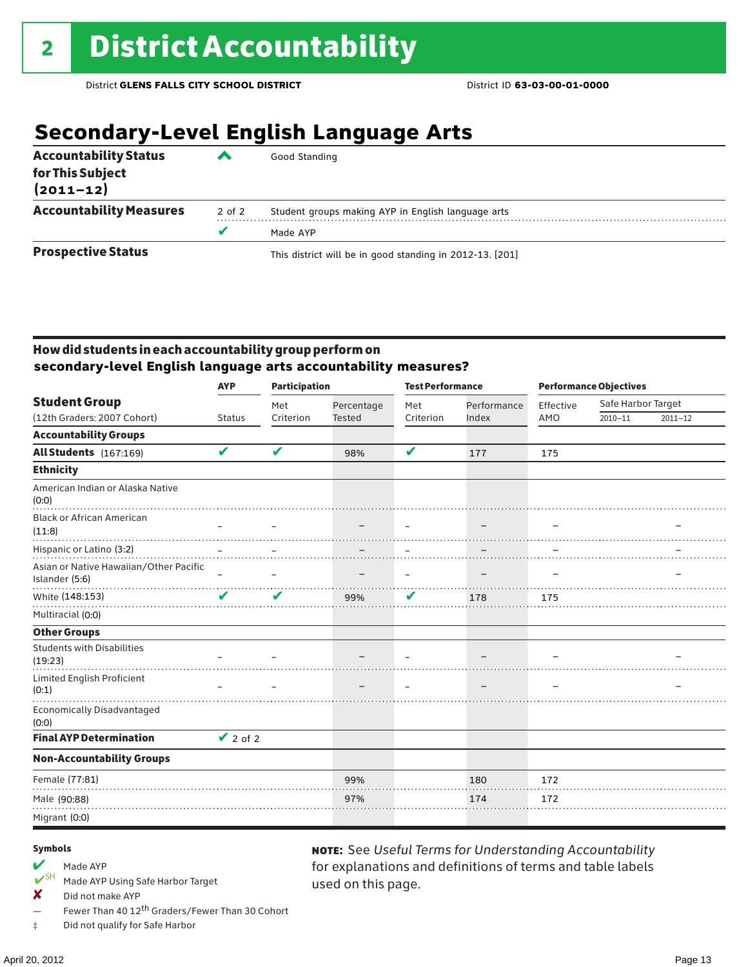# **Secondary-Level English Language Arts**

| <b>Accountability Status</b><br>for This Subject<br>$(2011 - 12)$ | ▰      | Good Standing                                            |
|-------------------------------------------------------------------|--------|----------------------------------------------------------|
| <b>Accountability Measures</b>                                    | 2 of 2 | Student groups making AYP in English language arts       |
|                                                                   | v      | Made AYP                                                 |
| <b>Prospective Status</b>                                         |        | This district will be in good standing in 2012-13. [201] |

### How did students in each accountability group perform on **secondary-level English language arts accountability measures?**

|                                                                    | <b>AYP</b>    |           | <b>Participation</b>        |                          | <b>Test Performance</b>  |           | <b>Performance Objectives</b> |             |  |
|--------------------------------------------------------------------|---------------|-----------|-----------------------------|--------------------------|--------------------------|-----------|-------------------------------|-------------|--|
| <b>Student Group</b>                                               |               | Met       | Percentage<br><b>Tested</b> | Met                      | Performance              | Effective | Safe Harbor Target            |             |  |
| (12th Graders: 2007 Cohort)                                        | <b>Status</b> | Criterion |                             | Criterion                | Index                    | AMO       | $2010 - 11$                   | $2011 - 12$ |  |
| <b>Accountability Groups</b>                                       |               |           |                             |                          |                          |           |                               |             |  |
| All Students (167:169)                                             | V             | V         | 98%                         | V                        | 177                      | 175       |                               |             |  |
| <b>Ethnicity</b>                                                   |               |           |                             |                          |                          |           |                               |             |  |
| American Indian or Alaska Native<br>(0:0)                          |               |           |                             |                          |                          |           |                               |             |  |
| <b>Black or African American</b><br>(11:8)                         |               |           |                             |                          | $\overline{\phantom{0}}$ |           |                               |             |  |
| Hispanic or Latino (3:2)<br>Asian or Native Hawaiian/Other Pacific |               |           |                             |                          |                          |           |                               |             |  |
| Islander (5:6)                                                     | $\equiv$      |           |                             | $\overline{\phantom{m}}$ | $\overline{\phantom{0}}$ | -         |                               |             |  |
| White (148:153)                                                    | V             | ✔         | 99%                         | V                        | 178                      | 175       |                               |             |  |
| Multiracial (0:0)                                                  |               |           |                             |                          |                          |           |                               |             |  |
| <b>Other Groups</b>                                                |               |           |                             |                          |                          |           |                               |             |  |
| <b>Students with Disabilities</b><br>(19:23)                       |               |           |                             |                          |                          |           |                               |             |  |
| Limited English Proficient<br>(0:1)                                |               |           |                             |                          |                          |           |                               |             |  |
| <b>Economically Disadvantaged</b><br>(0:0)                         |               |           |                             |                          |                          |           |                               |             |  |
| <b>Final AYP Determination</b>                                     | $\vee$ 2 of 2 |           |                             |                          |                          |           |                               |             |  |
| <b>Non-Accountability Groups</b>                                   |               |           |                             |                          |                          |           |                               |             |  |
| Female (77:81)                                                     |               |           | 99%                         |                          | 180                      | 172       |                               |             |  |
| Male (90:88)                                                       |               |           | 97%                         |                          | 174                      | 172       |                               |             |  |
| Migrant (0:0)                                                      |               |           |                             |                          |                          |           |                               |             |  |

used on this page.

note: See *Useful Terms for Understanding Accountability*  for explanations and definitions of terms and table labels

#### Symbols

# Made AYP<br>  $V$ <sup>SH</sup> Made AVP

- Made AYP Using Safe Harbor Target
- X Did not make AYP
- Fewer Than 40 12<sup>th</sup> Graders/Fewer Than 30 Cohort
- ‡ Did not qualify for Safe Harbor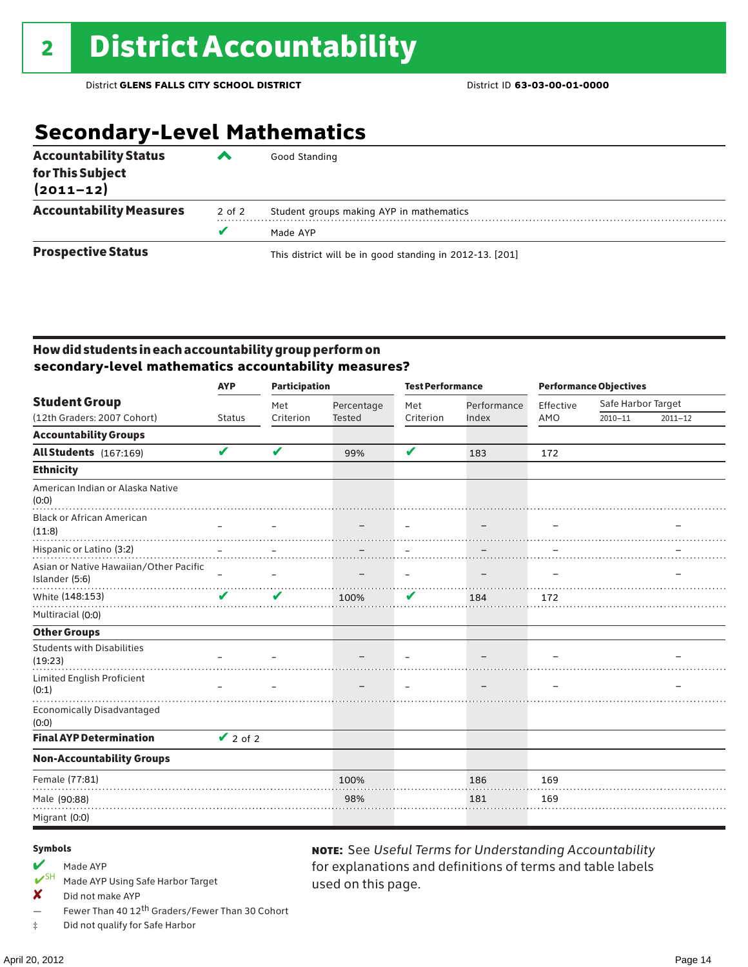# **Secondary-Level Mathematics**

| <b>Accountability Status</b><br>for This Subject<br>$(2011 - 12)$ |        | Good Standing                                            |
|-------------------------------------------------------------------|--------|----------------------------------------------------------|
| <b>Accountability Measures</b>                                    | 2 of 2 | Student groups making AYP in mathematics                 |
|                                                                   | v      | Made AYP                                                 |
| <b>Prospective Status</b>                                         |        | This district will be in good standing in 2012-13. [201] |

### How did students in each accountability group perform on **secondary-level mathematics accountability measures?**

|                                                          | <b>Participation</b><br><b>AYP</b> |           |                             | <b>Test Performance</b>  |                          |           | <b>Performance Objectives</b> |             |  |
|----------------------------------------------------------|------------------------------------|-----------|-----------------------------|--------------------------|--------------------------|-----------|-------------------------------|-------------|--|
| <b>Student Group</b>                                     |                                    | Met       | Percentage<br><b>Tested</b> | Met                      | Performance              | Effective | Safe Harbor Target            |             |  |
| (12th Graders: 2007 Cohort)                              | <b>Status</b>                      | Criterion |                             | Criterion                | Index                    | AMO       | $2010 - 11$                   | $2011 - 12$ |  |
| <b>Accountability Groups</b>                             |                                    |           |                             |                          |                          |           |                               |             |  |
| All Students (167:169)                                   | V                                  | V         | 99%                         | V                        | 183                      | 172       |                               |             |  |
| <b>Ethnicity</b>                                         |                                    |           |                             |                          |                          |           |                               |             |  |
| American Indian or Alaska Native<br>(0:0)                |                                    |           |                             |                          |                          |           |                               |             |  |
| <b>Black or African American</b><br>(11:8)               |                                    |           |                             |                          | $\overline{\phantom{0}}$ |           |                               |             |  |
| Hispanic or Latino (3:2)                                 |                                    |           |                             |                          |                          |           |                               |             |  |
| Asian or Native Hawaiian/Other Pacific<br>Islander (5:6) | $\equiv$                           |           |                             | $\overline{\phantom{m}}$ | $\overline{\phantom{0}}$ | -         |                               |             |  |
| White (148:153)                                          | V                                  | ✔         | 100%                        | V                        | 184                      | 172       |                               |             |  |
| Multiracial (0:0)                                        |                                    |           |                             |                          |                          |           |                               |             |  |
| <b>Other Groups</b>                                      |                                    |           |                             |                          |                          |           |                               |             |  |
| <b>Students with Disabilities</b><br>(19:23)             |                                    |           |                             |                          |                          |           |                               |             |  |
| Limited English Proficient<br>(0:1)                      |                                    |           |                             |                          |                          |           |                               |             |  |
| <b>Economically Disadvantaged</b><br>(0:0)               |                                    |           |                             |                          |                          |           |                               |             |  |
| <b>Final AYP Determination</b>                           | $\vee$ 2 of 2                      |           |                             |                          |                          |           |                               |             |  |
| <b>Non-Accountability Groups</b>                         |                                    |           |                             |                          |                          |           |                               |             |  |
| Female (77:81)                                           |                                    |           | 100%                        |                          | 186                      | 169       |                               |             |  |
| Male (90:88)                                             |                                    |           | 98%                         |                          | 181                      | 169       |                               |             |  |
| Migrant (0:0)                                            |                                    |           |                             |                          |                          |           |                               |             |  |

used on this page.

note: See *Useful Terms for Understanding Accountability*  for explanations and definitions of terms and table labels

#### Symbols

# Made AYP<br>  $V^{\text{SH}}$  Made AVP

- Made AYP Using Safe Harbor Target
- ✘ Did not make AYP
- Fewer Than 40 12th Graders/Fewer Than 30 Cohort
- ‡ Did not qualify for Safe Harbor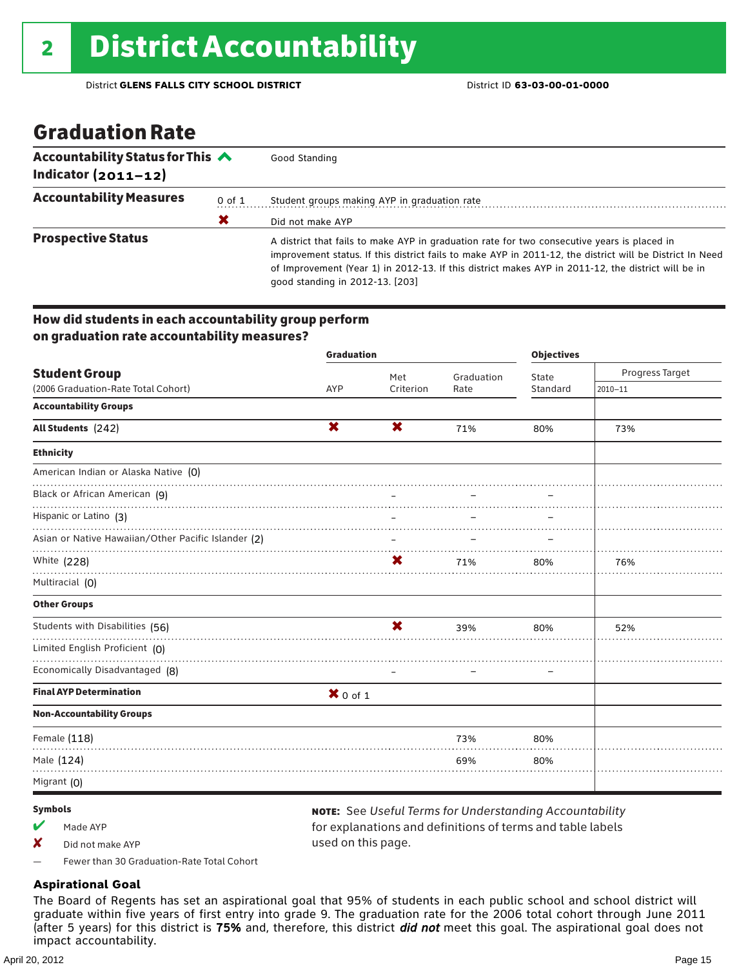### Graduation Rate

| Accountability Status for This $\triangle$<br>Indicator $(2011 - 12)$ |   | Good Standing                                                                                                                                                                                                                                                                                                                                    |  |  |  |  |
|-----------------------------------------------------------------------|---|--------------------------------------------------------------------------------------------------------------------------------------------------------------------------------------------------------------------------------------------------------------------------------------------------------------------------------------------------|--|--|--|--|
| <b>Accountability Measures</b><br>0 of 1                              |   | Student groups making AYP in graduation rate                                                                                                                                                                                                                                                                                                     |  |  |  |  |
|                                                                       | Х | Did not make AYP                                                                                                                                                                                                                                                                                                                                 |  |  |  |  |
| <b>Prospective Status</b>                                             |   | A district that fails to make AYP in graduation rate for two consecutive years is placed in<br>improvement status. If this district fails to make AYP in 2011-12, the district will be District In Need<br>of Improvement (Year 1) in 2012-13. If this district makes AYP in 2011-12, the district will be in<br>good standing in 2012-13. [203] |  |  |  |  |

### How did students in each accountability group perform on graduation rate accountability measures?

|                                                     | <b>Graduation</b> |                          | <b>Objectives</b> |                          |                 |
|-----------------------------------------------------|-------------------|--------------------------|-------------------|--------------------------|-----------------|
| <b>Student Group</b>                                |                   | Met                      | Graduation        | State                    | Progress Target |
| (2006 Graduation-Rate Total Cohort)                 | <b>AYP</b>        | Criterion                | Rate              | Standard                 | $2010 - 11$     |
| <b>Accountability Groups</b>                        |                   |                          |                   |                          |                 |
| All Students (242)                                  | X                 | <b>X</b>                 | 71%               | 80%                      | 73%             |
| <b>Ethnicity</b>                                    |                   |                          |                   |                          |                 |
| American Indian or Alaska Native (0)                |                   |                          |                   |                          |                 |
| Black or African American (9)                       |                   |                          |                   |                          |                 |
| Hispanic or Latino (3)                              |                   |                          |                   |                          |                 |
| Asian or Native Hawaiian/Other Pacific Islander (2) |                   | $\overline{\phantom{m}}$ |                   |                          |                 |
| White (228)                                         |                   | X                        | 71%               | 80%                      | 76%             |
| Multiracial (O)                                     |                   |                          |                   |                          |                 |
| <b>Other Groups</b>                                 |                   |                          |                   |                          |                 |
| Students with Disabilities (56)                     |                   | X                        | 39%               | 80%                      | 52%             |
| Limited English Proficient (0)                      |                   |                          |                   |                          |                 |
| Economically Disadvantaged (8)                      |                   |                          |                   | $\overline{\phantom{0}}$ |                 |
| <b>Final AYP Determination</b>                      | $X$ 0 of 1        |                          |                   |                          |                 |
| <b>Non-Accountability Groups</b>                    |                   |                          |                   |                          |                 |
| Female (118)                                        |                   |                          | 73%               | 80%                      |                 |
| Male (124)                                          |                   |                          | 69%               | 80%                      |                 |
| Migrant (O)                                         |                   |                          |                   |                          |                 |

#### Symbols

 $M$  Made AYP

✘ Did not make AYP

note: See *Useful Terms for Understanding Accountability*  for explanations and definitions of terms and table labels used on this page.

— Fewer than 30 Graduation-Rate Total Cohort

### **Aspirational Goal**

The Board of Regents has set an aspirational goal that 95% of students in each public school and school district will graduate within five years of first entry into grade 9. The graduation rate for the 2006 total cohort through June 2011 (after 5 years) for this district is 75% and, therefore, this district *did not* meet this goal. The aspirational goal does not impact accountability.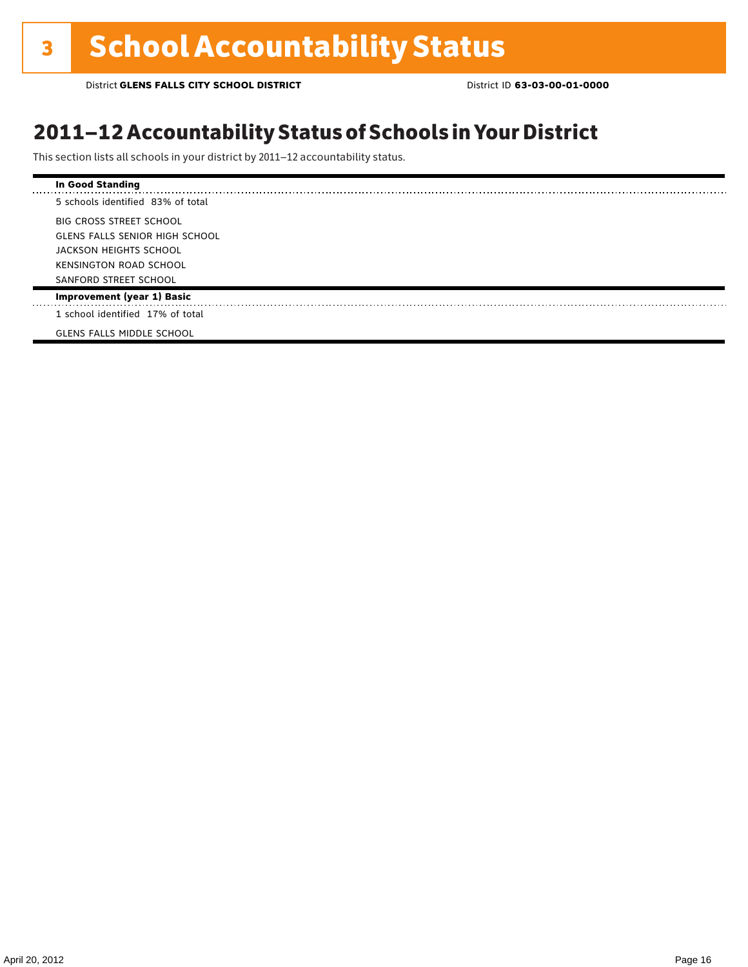### 2011–12 Accountability Status of Schools in Your District

This section lists all schools in your district by 2011–12 accountability status.

| In Good Standing                      |
|---------------------------------------|
| 5 schools identified 83% of total     |
| <b>BIG CROSS STREET SCHOOL</b>        |
| <b>GLENS FALLS SENIOR HIGH SCHOOL</b> |
| JACKSON HEIGHTS SCHOOL                |
| <b>KENSINGTON ROAD SCHOOL</b>         |
| SANFORD STREET SCHOOL                 |
| <b>Improvement (year 1) Basic</b>     |
| 1 school identified 17% of total      |
| <b>GLENS FALLS MIDDLE SCHOOL</b>      |
|                                       |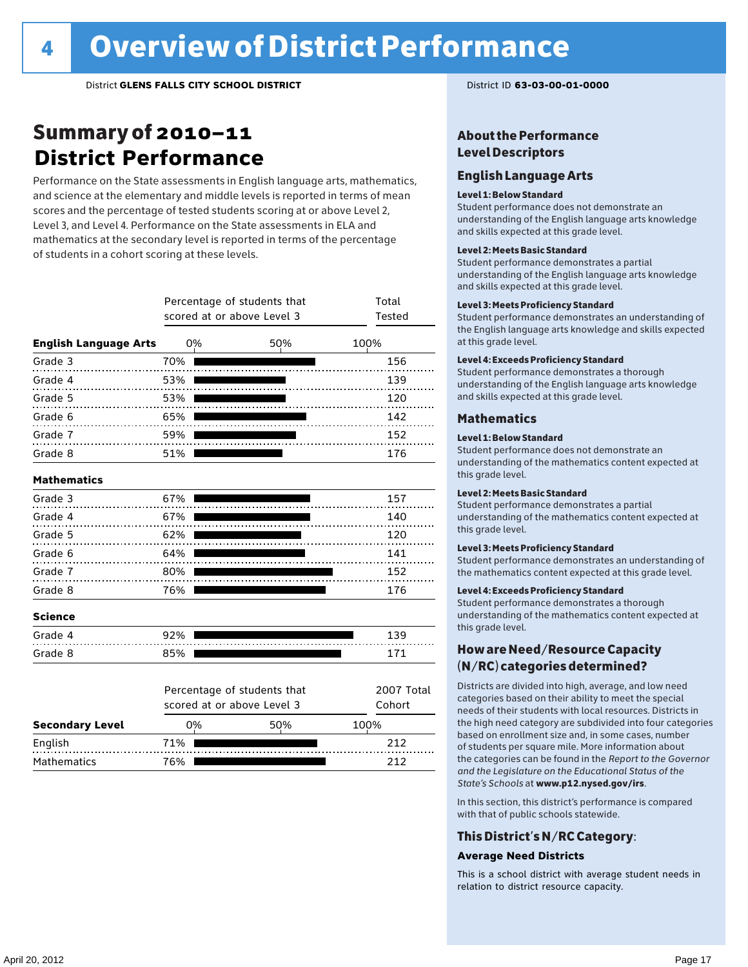### Summary of 2010–11 **District Performance**

Performance on the State assessments in English language arts, mathematics, and science at the elementary and middle levels is reported in terms of mean scores and the percentage of tested students scoring at or above Level 2, Level 3, and Level 4. Performance on the State assessments in ELA and mathematics at the secondary level is reported in terms of the percentage of students in a cohort scoring at these levels.

|                              |     | Percentage of students that<br>scored at or above Level 3 | Total<br>Tested |  |  |
|------------------------------|-----|-----------------------------------------------------------|-----------------|--|--|
| <b>English Language Arts</b> | 0%  | 50%                                                       | 100%            |  |  |
| Grade 3                      | 70% |                                                           | 156             |  |  |
| Grade 4<br>.                 | 53% |                                                           | 139             |  |  |
| Grade 5<br>.                 | 53% |                                                           | 120             |  |  |
| Grade 6<br>.                 | 65% |                                                           | 142             |  |  |
| Grade 7                      | 59% |                                                           | 152             |  |  |
| Grade 8                      | 51% |                                                           | 176             |  |  |
| <b>Mathematics</b>           |     |                                                           |                 |  |  |
| Grade 3                      | 67% |                                                           | 157             |  |  |
| Grade 4                      | 67% |                                                           | 140             |  |  |
| Grade 5                      | 62% |                                                           | 120             |  |  |
| Grade 6                      | 64% |                                                           | 141             |  |  |
| Grade 7                      | 80% |                                                           | 152             |  |  |
| Grade 8                      | 76% |                                                           | 176             |  |  |
| <b>Science</b>               |     |                                                           |                 |  |  |
| Grade 4                      | 92% |                                                           | 139             |  |  |
| Grade 8                      | 85% |                                                           | 171             |  |  |
|                              |     | Percentage of students that                               | 2007 Total      |  |  |
|                              |     | scored at or above Level 3                                | Cohort          |  |  |
| <b>Secondary Level</b>       | 0%  | 50%                                                       | 100%            |  |  |
| English                      | 71% |                                                           | 212             |  |  |

Mathematics 76% 212

### About the Performance Level Descriptors

### English Language Arts

#### Level 1: Below Standard

Student performance does not demonstrate an understanding of the English language arts knowledge and skills expected at this grade level.

#### Level 2: Meets Basic Standard

Student performance demonstrates a partial understanding of the English language arts knowledge and skills expected at this grade level.

#### Level 3: Meets Proficiency Standard

Student performance demonstrates an understanding of the English language arts knowledge and skills expected at this grade level.

#### Level 4: Exceeds Proficiency Standard

Student performance demonstrates a thorough understanding of the English language arts knowledge and skills expected at this grade level.

#### Mathematics

#### Level 1: Below Standard

Student performance does not demonstrate an understanding of the mathematics content expected at this grade level.

#### Level 2: Meets Basic Standard

Student performance demonstrates a partial understanding of the mathematics content expected at this grade level.

#### Level 3: Meets Proficiency Standard

Student performance demonstrates an understanding of the mathematics content expected at this grade level.

#### Level 4: Exceeds Proficiency Standard

Student performance demonstrates a thorough understanding of the mathematics content expected at this grade level.

### How are Need/Resource Capacity (N/RC) categories determined?

Districts are divided into high, average, and low need categories based on their ability to meet the special needs of their students with local resources. Districts in the high need category are subdivided into four categories based on enrollment size and, in some cases, number of students per square mile. More information about the categories can be found in the *Report to the Governor and the Legislature on the Educational Status of the State's Schools* at www.p12.nysed.gov/irs.

In this section, this district's performance is compared with that of public schools statewide.

### This District's N/RC Category:

#### **Average Need Districts**

This is a school district with average student needs in relation to district resource capacity.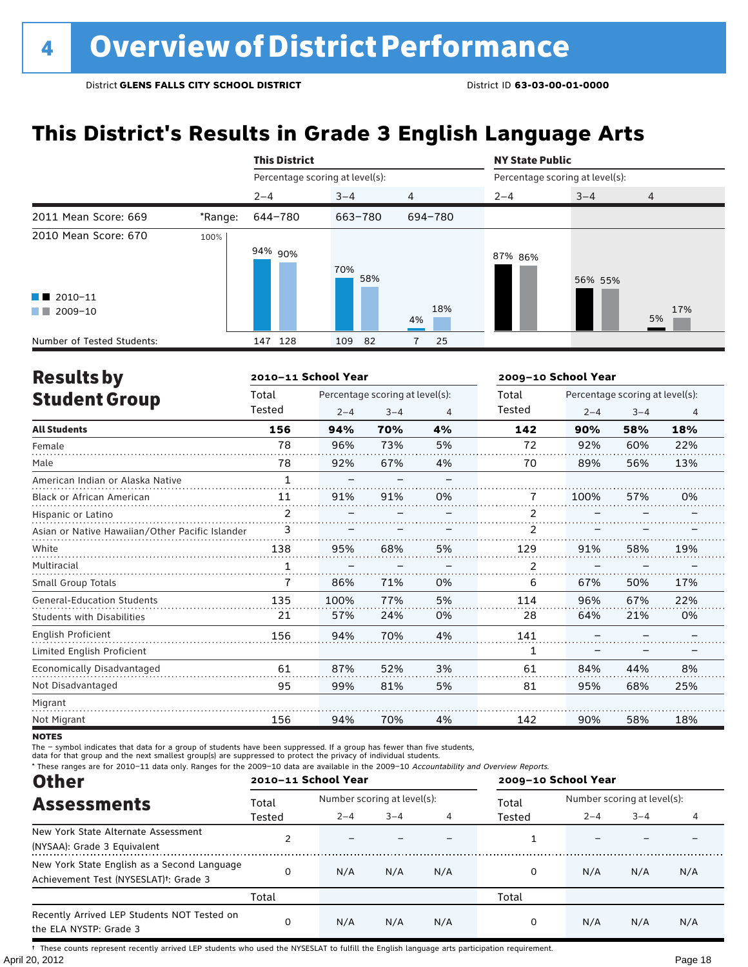# **This District's Results in Grade 3 English Language Arts**

|                                                                            |         | <b>This District</b>            |            |                | <b>NY State Public</b>          |         |                |  |
|----------------------------------------------------------------------------|---------|---------------------------------|------------|----------------|---------------------------------|---------|----------------|--|
|                                                                            |         | Percentage scoring at level(s): |            |                | Percentage scoring at level(s): |         |                |  |
|                                                                            |         | $2 - 4$                         | $3 - 4$    | $\overline{4}$ | $2 - 4$                         | $3 - 4$ | $\overline{4}$ |  |
| 2011 Mean Score: 669                                                       | *Range: | 644-780                         | 663-780    | 694-780        |                                 |         |                |  |
| 2010 Mean Score: 670<br>$\blacksquare$ 2010-11<br>2009-10<br><b>The Co</b> | 100%    | 94% 90%                         | 70%<br>58% | 18%<br>4%      | 87% 86%                         | 56% 55% | 17%<br>5%      |  |
| Number of Tested Students:                                                 |         | 128<br>147                      | 109<br>-82 | 25             |                                 |         |                |  |

| <b>Results by</b>                               |        | 2010-11 School Year |                                 |    | 2009-10 School Year |         |                                 |                |  |
|-------------------------------------------------|--------|---------------------|---------------------------------|----|---------------------|---------|---------------------------------|----------------|--|
| <b>Student Group</b>                            | Total  |                     | Percentage scoring at level(s): |    | Total               |         | Percentage scoring at level(s): |                |  |
|                                                 | Tested | $2 - 4$             | $3 - 4$                         | 4  | Tested              | $2 - 4$ | $3 - 4$                         | $\overline{4}$ |  |
| <b>All Students</b>                             | 156    | 94%                 | 70%                             | 4% | 142                 | 90%     | 58%                             | 18%            |  |
| Female                                          | 78     | 96%                 | 73%                             | 5% | 72                  | 92%     | 60%                             | 22%            |  |
| Male                                            | 78     | 92%                 | 67%                             | 4% | 70                  | 89%     | 56%                             | 13%            |  |
| American Indian or Alaska Native                | 1      |                     |                                 |    |                     |         |                                 |                |  |
| <b>Black or African American</b>                | 11     | 91%                 | 91%                             | 0% | 7                   | 100%    | 57%                             | 0%             |  |
| Hispanic or Latino                              | 2      |                     |                                 |    | 2                   |         |                                 |                |  |
| Asian or Native Hawaiian/Other Pacific Islander | 3      |                     |                                 |    | 2                   |         |                                 |                |  |
| White                                           | 138    | 95%                 | 68%                             | 5% | 129                 | 91%     | 58%                             | 19%            |  |
| Multiracial                                     | 1      |                     |                                 |    | 2                   |         |                                 |                |  |
| Small Group Totals                              | 7      | 86%                 | 71%                             | 0% | 6                   | 67%     | 50%                             | 17%            |  |
| <b>General-Education Students</b>               | 135    | 100%                | 77%                             | 5% | 114                 | 96%     | 67%                             | 22%            |  |
| <b>Students with Disabilities</b>               | 21     | 57%                 | 24%                             | 0% | 28                  | 64%     | 21%                             | 0%             |  |
| English Proficient                              | 156    | 94%                 | 70%                             | 4% | 141                 |         |                                 |                |  |
| Limited English Proficient                      |        |                     |                                 |    | 1                   |         |                                 |                |  |
| Economically Disadvantaged                      | 61     | 87%                 | 52%                             | 3% | 61                  | 84%     | 44%                             | 8%             |  |
| Not Disadvantaged                               | 95     | 99%                 | 81%                             | 5% | 81                  | 95%     | 68%                             | 25%            |  |
| Migrant                                         |        |                     |                                 |    |                     |         |                                 |                |  |
| Not Migrant                                     | 156    | 94%                 | 70%                             | 4% | 142                 | 90%     | 58%                             | 18%            |  |

**NOTES** 

The – symbol indicates that data for a group of students have been suppressed. If a group has fewer than five students,<br>data for that group and the next smallest group(s) are suppressed to protect the privacy of individual

\* These ranges are for 2010–11 data only. Ranges for the 2009–10 data are available in the 2009–10 Accountability and Overview Reports.

| <b>Other</b>                                                                                      |          | 2010-11 School Year |                             |     | 2009-10 School Year |                             |         |     |
|---------------------------------------------------------------------------------------------------|----------|---------------------|-----------------------------|-----|---------------------|-----------------------------|---------|-----|
| <b>Assessments</b>                                                                                | Total    |                     | Number scoring at level(s): |     |                     | Number scoring at level(s): |         |     |
|                                                                                                   | Tested   | $2 - 4$             | $3 - 4$                     |     | Tested              | $2 - 4$                     | $3 - 4$ |     |
| New York State Alternate Assessment<br>(NYSAA): Grade 3 Equivalent                                |          |                     |                             |     |                     |                             |         |     |
| New York State English as a Second Language<br>Achievement Test (NYSESLAT) <sup>+</sup> : Grade 3 | $\Omega$ | N/A                 | N/A                         | N/A | 0                   | N/A                         | N/A     | N/A |
|                                                                                                   | Total    |                     |                             |     | Total               |                             |         |     |
| Recently Arrived LEP Students NOT Tested on<br>the ELA NYSTP: Grade 3                             | $\Omega$ | N/A                 | N/A                         | N/A | 0                   | N/A                         | N/A     | N/A |

April 20, 2012 Page 18 † These counts represent recently arrived LEP students who used the NYSESLAT to fulfill the English language arts participation requirement.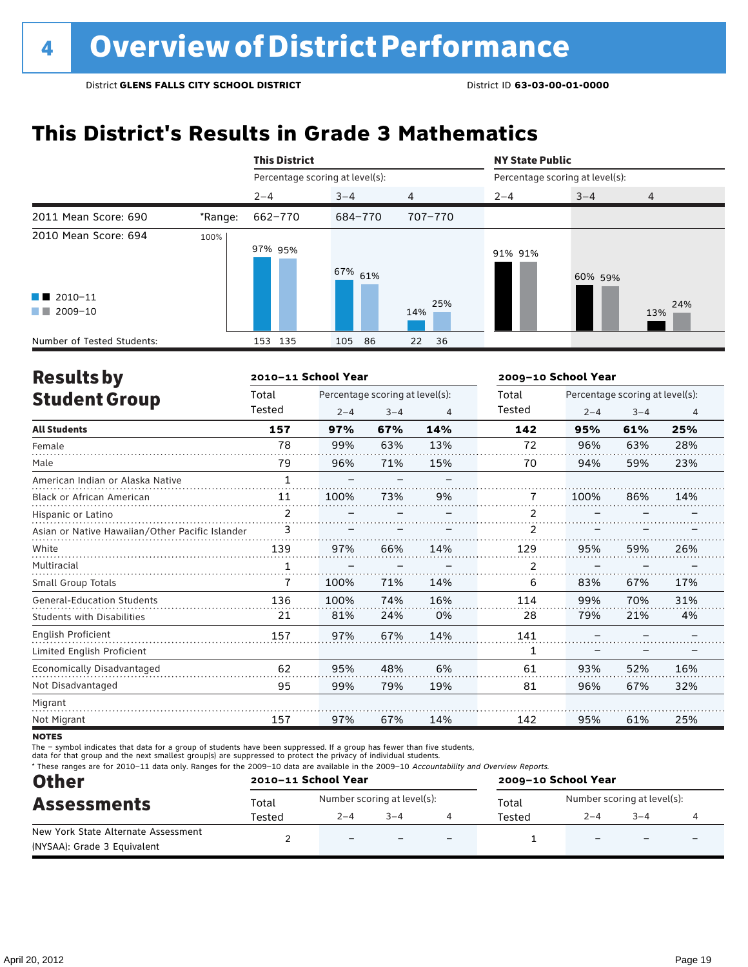# **This District's Results in Grade 3 Mathematics**

|                                                |         | <b>This District</b>            |             |                | <b>NY State Public</b>          |         |     |  |
|------------------------------------------------|---------|---------------------------------|-------------|----------------|---------------------------------|---------|-----|--|
|                                                |         | Percentage scoring at level(s): |             |                | Percentage scoring at level(s): |         |     |  |
|                                                |         | $2 - 4$                         | $3 - 4$     | $\overline{4}$ | $2 - 4$                         | $3 - 4$ | 4   |  |
| 2011 Mean Score: 690                           | *Range: | 662-770                         | 684-770     | 707-770        |                                 |         |     |  |
| 2010 Mean Score: 694<br>$\blacksquare$ 2010-11 | 100%    | 97% 95%                         | 67% 61%     | 25%            | 91% 91%                         | 60% 59% | 24% |  |
| 2009-10<br><b>The Co</b>                       |         |                                 |             | 14%            |                                 |         | 13% |  |
| Number of Tested Students:                     |         | 135<br>153                      | 105<br>- 86 | 36<br>22       |                                 |         |     |  |

| <b>Results by</b>                               |              | 2010-11 School Year |                                 |                | 2009-10 School Year |         |                                 |                |
|-------------------------------------------------|--------------|---------------------|---------------------------------|----------------|---------------------|---------|---------------------------------|----------------|
| <b>Student Group</b>                            | Total        |                     | Percentage scoring at level(s): |                | Total               |         | Percentage scoring at level(s): |                |
|                                                 | Tested       | $2 - 4$             | $3 - 4$                         | $\overline{4}$ | Tested              | $2 - 4$ | $3 - 4$                         | $\overline{4}$ |
| <b>All Students</b>                             | 157          | 97%                 | 67%                             | 14%            | 142                 | 95%     | 61%                             | 25%            |
| Female                                          | 78           | 99%                 | 63%                             | 13%            | 72                  | 96%     | 63%                             | 28%            |
| Male                                            | 79           | 96%                 | 71%                             | 15%            | 70                  | 94%     | 59%                             | 23%            |
| American Indian or Alaska Native                | $\mathbf{1}$ |                     |                                 |                |                     |         |                                 |                |
| <b>Black or African American</b>                | 11           | 100%                | 73%                             | 9%             | 7                   | 100%    | 86%                             | 14%            |
| Hispanic or Latino                              | 2            |                     |                                 |                | 2                   |         |                                 |                |
| Asian or Native Hawaiian/Other Pacific Islander | 3            |                     |                                 |                |                     |         |                                 |                |
| White                                           | 139          | 97%                 | 66%                             | 14%            | 129                 | 95%     | 59%                             | 26%            |
| Multiracial                                     | 1            |                     |                                 |                | 2                   |         |                                 |                |
| <b>Small Group Totals</b>                       | 7            | 100%                | 71%                             | 14%            | 6                   | 83%     | 67%                             | 17%            |
| <b>General-Education Students</b>               | 136          | 100%                | 74%                             | 16%            | 114                 | 99%     | 70%                             | 31%            |
| <b>Students with Disabilities</b>               | 21           | 81%                 | 24%                             | 0%             | 28                  | 79%     | 21%                             | 4%             |
| <b>English Proficient</b>                       | 157          | 97%                 | 67%                             | 14%            | 141                 |         |                                 |                |
| Limited English Proficient                      |              |                     |                                 |                | 1                   |         |                                 |                |
| Economically Disadvantaged                      | 62           | 95%                 | 48%                             | 6%             | 61                  | 93%     | 52%                             | 16%            |
| Not Disadvantaged                               | 95           | 99%                 | 79%                             | 19%            | 81                  | 96%     | 67%                             | 32%            |
| Migrant                                         |              |                     |                                 |                |                     |         |                                 |                |
| Not Migrant                                     | 157          | 97%                 | 67%                             | 14%            | 142                 | 95%     | 61%                             | 25%            |

**NOTES** 

The – symbol indicates that data for a group of students have been suppressed. If a group has fewer than five students,

data for that group and the next smallest group(s) are suppressed to protect the privacy of individual students.

\* These ranges are for 2010–11 data only. Ranges for the 2009–10 data are available in the 2009–10 Accountability and Overview Reports.

| <b>Other</b><br><b>Assessments</b>                                 |        | 2010-11 School Year         |                          |                          | 2009-10 School Year |                             |         |  |  |
|--------------------------------------------------------------------|--------|-----------------------------|--------------------------|--------------------------|---------------------|-----------------------------|---------|--|--|
|                                                                    | Total  | Number scoring at level(s): |                          |                          | Total               | Number scoring at level(s): |         |  |  |
|                                                                    | Tested | $2 - 4$                     | $3 - 4$                  |                          | Tested              | $2 - 4$                     | $3 - 4$ |  |  |
| New York State Alternate Assessment<br>(NYSAA): Grade 3 Equivalent |        | $\qquad \qquad -$           | $\overline{\phantom{0}}$ | $\overline{\phantom{0}}$ |                     | $\overline{\phantom{0}}$    |         |  |  |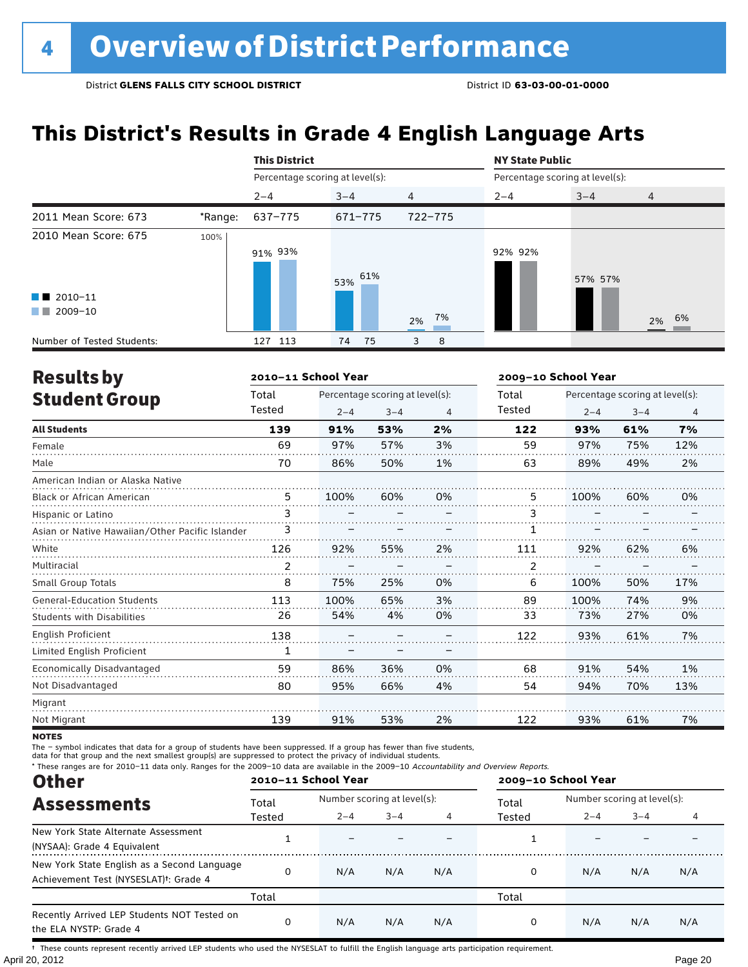# **This District's Results in Grade 4 English Language Arts**

|                            |         | <b>This District</b>            |          |                | <b>NY State Public</b> |                                 |                |
|----------------------------|---------|---------------------------------|----------|----------------|------------------------|---------------------------------|----------------|
|                            |         | Percentage scoring at level(s): |          |                |                        | Percentage scoring at level(s): |                |
|                            |         | $2 - 4$                         | $3 - 4$  | $\overline{4}$ | $2 - 4$                | $3 - 4$                         | $\overline{4}$ |
| 2011 Mean Score: 673       | *Range: | 637-775                         | 671-775  | 722-775        |                        |                                 |                |
| 2010 Mean Score: 675       | 100%    | 91% 93%                         | 53% 61%  |                | 92% 92%                | 57% 57%                         |                |
| $\blacksquare$ 2010-11     |         |                                 |          |                |                        |                                 |                |
| 2009-10<br><b>The Co</b>   |         |                                 |          | 7%<br>2%       |                        |                                 | 2% 6%          |
| Number of Tested Students: |         | 113<br>127                      | 75<br>74 | 8<br>3         |                        |                                 |                |

| <b>Results by</b>                               |        | 2010-11 School Year |                                 |    | 2009-10 School Year |         |                                 |     |
|-------------------------------------------------|--------|---------------------|---------------------------------|----|---------------------|---------|---------------------------------|-----|
| <b>Student Group</b>                            | Total  |                     | Percentage scoring at level(s): |    | Total               |         | Percentage scoring at level(s): |     |
|                                                 | Tested | $2 - 4$             | $3 - 4$                         | 4  | Tested              | $2 - 4$ | $3 - 4$                         | 4   |
| <b>All Students</b>                             | 139    | 91%                 | 53%                             | 2% | 122                 | 93%     | 61%                             | 7%  |
| Female                                          | 69     | 97%                 | 57%                             | 3% | 59                  | 97%     | 75%                             | 12% |
| Male                                            | 70     | 86%                 | 50%                             | 1% | 63                  | 89%     | 49%                             | 2%  |
| American Indian or Alaska Native                |        |                     |                                 |    |                     |         |                                 |     |
| <b>Black or African American</b>                | 5      | 100%                | 60%                             | 0% | 5.                  | 100%    | 60%                             | 0%  |
| Hispanic or Latino                              | 3      |                     |                                 |    | 3                   |         |                                 |     |
| Asian or Native Hawaiian/Other Pacific Islander | 3      |                     |                                 |    | 1                   |         |                                 |     |
| White                                           | 126    | 92%                 | 55%                             | 2% | 111                 | 92%     | 62%                             | 6%  |
| Multiracial                                     | 2      |                     |                                 |    | 2                   |         |                                 |     |
| <b>Small Group Totals</b>                       | 8      | 75%                 | 25%                             | 0% | 6                   | 100%    | 50%                             | 17% |
| <b>General-Education Students</b>               | 113    | 100%                | 65%                             | 3% | 89                  | 100%    | 74%                             | 9%  |
| <b>Students with Disabilities</b>               | 26     | 54%                 | 4%                              | 0% | 33                  | 73%     | 27%                             | 0%  |
| English Proficient                              | 138    |                     |                                 |    | 122                 | 93%     | 61%                             | 7%  |
| Limited English Proficient                      | 1      |                     |                                 |    |                     |         |                                 |     |
| Economically Disadvantaged                      | 59     | 86%                 | 36%                             | 0% | 68                  | 91%     | 54%                             | 1%  |
| Not Disadvantaged                               | 80     | 95%                 | 66%                             | 4% | 54                  | 94%     | 70%                             | 13% |
| Migrant                                         |        |                     |                                 |    |                     |         |                                 |     |
| Not Migrant                                     | 139    | 91%                 | 53%                             | 2% | 122                 | 93%     | 61%                             | 7%  |

**NOTES** 

The – symbol indicates that data for a group of students have been suppressed. If a group has fewer than five students,

data for that group and the next smallest group(s) are suppressed to protect the privacy of individual students.

\* These ranges are for 2010–11 data only. Ranges for the 2009–10 data are available in the 2009–10 Accountability and Overview Reports.

| <b>Other</b>                                                                                      |          | 2010-11 School Year |                             |     | 2009-10 School Year |                             |         |     |
|---------------------------------------------------------------------------------------------------|----------|---------------------|-----------------------------|-----|---------------------|-----------------------------|---------|-----|
| <b>Assessments</b>                                                                                | Total    |                     | Number scoring at level(s): |     |                     | Number scoring at level(s): |         |     |
|                                                                                                   | Tested   | $2 - 4$             | $3 - 4$                     |     | Tested              | $2 - 4$                     | $3 - 4$ |     |
| New York State Alternate Assessment<br>(NYSAA): Grade 4 Equivalent                                |          |                     |                             |     |                     |                             |         |     |
| New York State English as a Second Language<br>Achievement Test (NYSESLAT) <sup>†</sup> : Grade 4 | $\Omega$ | N/A                 | N/A                         | N/A | 0                   | N/A                         | N/A     | N/A |
|                                                                                                   | Total    |                     |                             |     | Total               |                             |         |     |
| Recently Arrived LEP Students NOT Tested on<br>the ELA NYSTP: Grade 4                             |          | N/A                 | N/A                         | N/A | 0                   | N/A                         | N/A     | N/A |

April 20, 2012 Page 20 † These counts represent recently arrived LEP students who used the NYSESLAT to fulfill the English language arts participation requirement.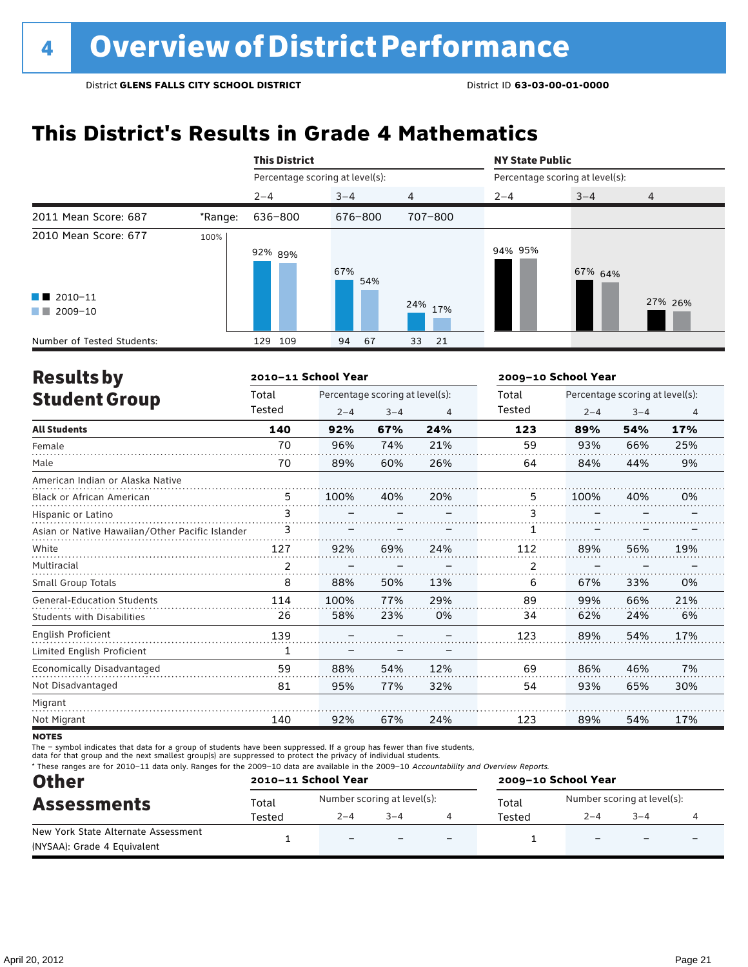# **This District's Results in Grade 4 Mathematics**

|                                                                          |         | <b>This District</b>            |            |                | <b>NY State Public</b>          |         |                |
|--------------------------------------------------------------------------|---------|---------------------------------|------------|----------------|---------------------------------|---------|----------------|
|                                                                          |         | Percentage scoring at level(s): |            |                | Percentage scoring at level(s): |         |                |
|                                                                          |         | $2 - 4$                         | $3 - 4$    | $\overline{4}$ | $2 - 4$                         | $3 - 4$ | $\overline{4}$ |
| 2011 Mean Score: 687                                                     | *Range: | 636-800                         | 676-800    | 707-800        |                                 |         |                |
| 2010 Mean Score: 677<br>$\blacksquare$ 2010-11<br>2009-10<br>a kacamatan | 100%    | 92% 89%                         | 67%<br>54% | 24%<br>17%     | 94% 95%                         | 67% 64% | 27% 26%        |
| Number of Tested Students:                                               |         | 109<br>129                      | 67<br>94   | 33<br>21       |                                 |         |                |

| <b>Results by</b>                               |        | 2010-11 School Year |                                 |     | 2009-10 School Year |         |                                 |                |
|-------------------------------------------------|--------|---------------------|---------------------------------|-----|---------------------|---------|---------------------------------|----------------|
| <b>Student Group</b>                            | Total  |                     | Percentage scoring at level(s): |     | Total               |         | Percentage scoring at level(s): |                |
|                                                 | Tested | $2 - 4$             | $3 - 4$                         | 4   | Tested              | $2 - 4$ | $3 - 4$                         | $\overline{4}$ |
| <b>All Students</b>                             | 140    | 92%                 | 67%                             | 24% | 123                 | 89%     | 54%                             | 17%            |
| Female                                          | 70     | 96%                 | 74%                             | 21% | 59                  | 93%     | 66%                             | 25%            |
| Male                                            | 70     | 89%                 | 60%                             | 26% | 64                  | 84%     | 44%                             | 9%             |
| American Indian or Alaska Native                |        |                     |                                 |     |                     |         |                                 |                |
| <b>Black or African American</b>                | 5      | 100%                | 40%                             | 20% | 5.                  | 100%    | 40%                             | 0%             |
| Hispanic or Latino                              | 3      |                     |                                 |     | 3                   |         |                                 |                |
| Asian or Native Hawaiian/Other Pacific Islander | 3      |                     |                                 |     |                     |         |                                 |                |
| White                                           | 127    | 92%                 | 69%                             | 24% | 112                 | 89%     | 56%                             | 19%            |
| Multiracial                                     | 2      |                     |                                 |     | 2                   |         |                                 |                |
| Small Group Totals                              | 8      | 88%                 | 50%                             | 13% | 6                   | 67%     | 33%                             | 0%             |
| <b>General-Education Students</b>               | 114    | 100%                | 77%                             | 29% | 89                  | 99%     | 66%                             | 21%            |
| <b>Students with Disabilities</b>               | 26     | 58%                 | 23%                             | 0%  | 34                  | 62%     | 24%                             | 6%             |
| <b>English Proficient</b>                       | 139    |                     |                                 |     | 123                 | 89%     | 54%                             | 17%            |
| Limited English Proficient                      | 1      |                     |                                 |     |                     |         |                                 |                |
| <b>Economically Disadvantaged</b>               | 59     | 88%                 | 54%                             | 12% | 69                  | 86%     | 46%                             | 7%             |
| Not Disadvantaged                               | 81     | 95%                 | 77%                             | 32% | 54                  | 93%     | 65%                             | 30%            |
| Migrant                                         |        |                     |                                 |     |                     |         |                                 |                |
| Not Migrant                                     | 140    | 92%                 | 67%                             | 24% | 123                 | 89%     | 54%                             | 17%            |
|                                                 |        |                     |                                 |     |                     |         |                                 |                |

**NOTES** 

The – symbol indicates that data for a group of students have been suppressed. If a group has fewer than five students,

data for that group and the next smallest group(s) are suppressed to protect the privacy of individual students.

\* These ranges are for 2010–11 data only. Ranges for the 2009–10 data are available in the 2009–10 Accountability and Overview Reports.

| <b>Other</b>                        | 2010-11 School Year |                             |         |                          | 2009-10 School Year |                             |         |   |  |
|-------------------------------------|---------------------|-----------------------------|---------|--------------------------|---------------------|-----------------------------|---------|---|--|
| <b>Assessments</b>                  | Total               | Number scoring at level(s): |         |                          | Total               | Number scoring at level(s): |         |   |  |
|                                     | Tested              | $2 - 4$                     | $3 - 4$ |                          | Tested              | $2 - 4$                     | $3 - 4$ |   |  |
| New York State Alternate Assessment |                     | $\overline{\phantom{0}}$    |         | $\overline{\phantom{0}}$ |                     |                             |         | - |  |
| (NYSAA): Grade 4 Equivalent         |                     |                             |         |                          |                     |                             |         |   |  |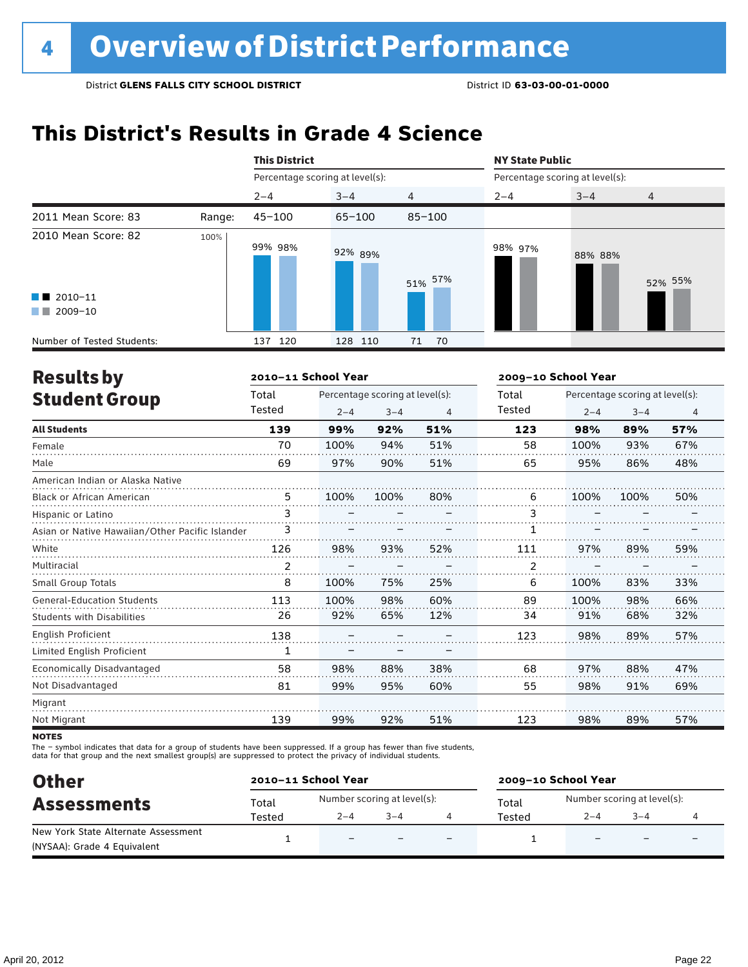# **This District's Results in Grade 4 Science**

|                                                                                                                                                                                                                                                                                                  |        | <b>This District</b>            |            |                | <b>NY State Public</b><br>Percentage scoring at level(s): |         |         |  |
|--------------------------------------------------------------------------------------------------------------------------------------------------------------------------------------------------------------------------------------------------------------------------------------------------|--------|---------------------------------|------------|----------------|-----------------------------------------------------------|---------|---------|--|
|                                                                                                                                                                                                                                                                                                  |        | Percentage scoring at level(s): |            |                |                                                           |         |         |  |
|                                                                                                                                                                                                                                                                                                  |        | $2 - 4$                         | $3 - 4$    | $\overline{4}$ | $2 - 4$                                                   | $3 - 4$ | 4       |  |
| 2011 Mean Score: 83                                                                                                                                                                                                                                                                              | Range: | $45 - 100$                      | $65 - 100$ | $85 - 100$     |                                                           |         |         |  |
| 2010 Mean Score: 82<br>$\blacksquare$ 2010-11<br>2009-10<br><b>The Contract of the Contract of the Contract of the Contract of the Contract of the Contract of the Contract of the Contract of the Contract of the Contract of the Contract of the Contract of The Contract of The Contract </b> | 100%   | 99% 98%                         | 92% 89%    | 51% 57%        | 98% 97%                                                   | 88% 88% | 52% 55% |  |
| Number of Tested Students:                                                                                                                                                                                                                                                                       |        | 120<br>137                      | 128 110    | 70<br>71       |                                                           |         |         |  |

| <b>Results by</b>                               |        | 2010-11 School Year |                                 |     | 2009-10 School Year |         |                                 |     |
|-------------------------------------------------|--------|---------------------|---------------------------------|-----|---------------------|---------|---------------------------------|-----|
| <b>Student Group</b>                            | Total  |                     | Percentage scoring at level(s): |     | Total               |         | Percentage scoring at level(s): |     |
|                                                 | Tested | $2 - 4$             | $3 - 4$                         | 4   | Tested              | $2 - 4$ | $3 - 4$                         | 4   |
| <b>All Students</b>                             | 139    | 99%                 | 92%                             | 51% | 123                 | 98%     | 89%                             | 57% |
| Female                                          | 70     | 100%                | 94%                             | 51% | 58                  | 100%    | 93%                             | 67% |
| Male                                            | 69     | 97%                 | 90%                             | 51% | 65                  | 95%     | 86%                             | 48% |
| American Indian or Alaska Native                |        |                     |                                 |     |                     |         |                                 |     |
| Black or African American                       | 5      | 100%                | 100%                            | 80% | 6                   | 100%    | 100%                            | 50% |
| Hispanic or Latino                              | 3      |                     |                                 |     | 3                   |         |                                 |     |
| Asian or Native Hawaiian/Other Pacific Islander | 3      |                     |                                 |     |                     |         |                                 |     |
| White                                           | 126    | 98%                 | 93%                             | 52% | 111                 | 97%     | 89%                             | 59% |
| Multiracial                                     | 2      |                     |                                 |     | 2                   |         |                                 |     |
| <b>Small Group Totals</b>                       | 8      | 100%                | 75%                             | 25% | 6                   | 100%    | 83%                             | 33% |
| <b>General-Education Students</b>               | 113    | 100%                | 98%                             | 60% | 89                  | 100%    | 98%                             | 66% |
| <b>Students with Disabilities</b>               | 26     | 92%                 | 65%                             | 12% | 34                  | 91%     | 68%                             | 32% |
| <b>English Proficient</b>                       | 138    |                     |                                 |     | 123                 | 98%     | 89%                             | 57% |
| Limited English Proficient                      | 1      |                     |                                 |     |                     |         |                                 |     |
| Economically Disadvantaged                      | 58     | 98%                 | 88%                             | 38% | 68                  | 97%     | 88%                             | 47% |
| Not Disadvantaged                               | 81     | 99%                 | 95%                             | 60% | 55                  | 98%     | 91%                             | 69% |
| Migrant                                         |        |                     |                                 |     |                     |         |                                 |     |
| Not Migrant                                     | 139    | 99%                 | 92%                             | 51% | 123                 | 98%     | 89%                             | 57% |
|                                                 |        |                     |                                 |     |                     |         |                                 |     |

**NOTES** 

The – symbol indicates that data for a group of students have been suppressed. If a group has fewer than five students,<br>data for that group and the next smallest group(s) are suppressed to protect the privacy of individual

| <b>Other</b>                        |        | 2010-11 School Year         |         |                          | 2009-10 School Year |                             |                          |                          |  |
|-------------------------------------|--------|-----------------------------|---------|--------------------------|---------------------|-----------------------------|--------------------------|--------------------------|--|
| <b>Assessments</b>                  | Total  | Number scoring at level(s): |         |                          | Total               | Number scoring at level(s): |                          |                          |  |
|                                     | Tested | $2 - 4$                     | $3 - 4$ |                          | Tested              | $2 - 4$                     | $3 - 4$                  |                          |  |
| New York State Alternate Assessment |        | $\overline{\phantom{0}}$    |         | $\overline{\phantom{0}}$ |                     |                             | $\overline{\phantom{0}}$ | $\overline{\phantom{0}}$ |  |
| (NYSAA): Grade 4 Equivalent         |        |                             |         |                          |                     |                             |                          |                          |  |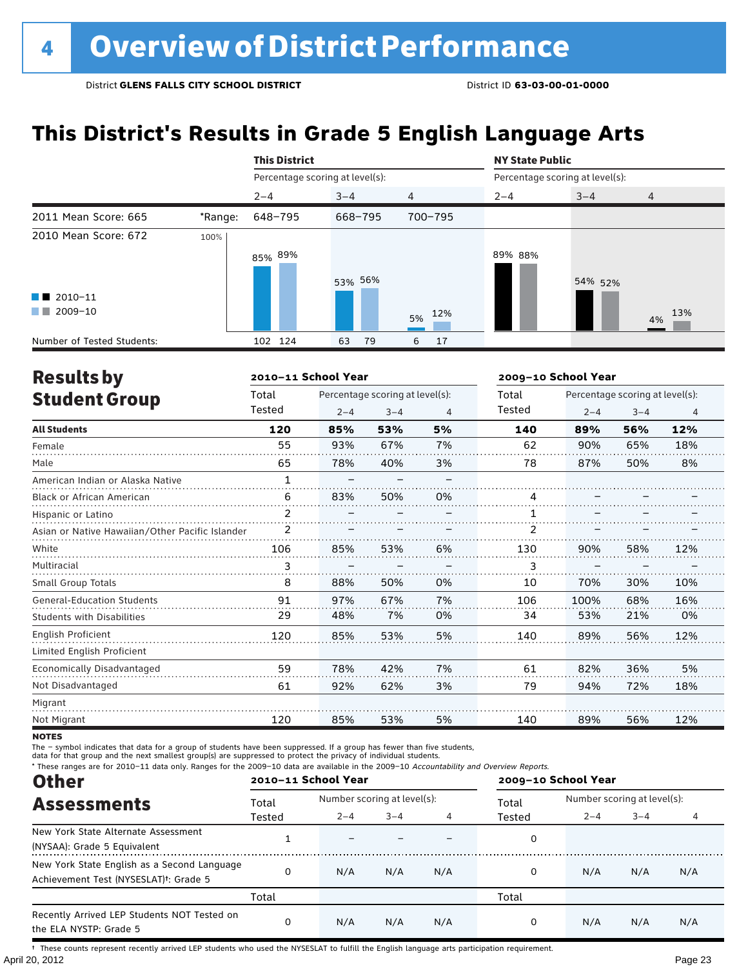# **This District's Results in Grade 5 English Language Arts**

|                                                  |         | <b>This District</b>            |          |                | <b>NY State Public</b>          |         |                |  |
|--------------------------------------------------|---------|---------------------------------|----------|----------------|---------------------------------|---------|----------------|--|
|                                                  |         | Percentage scoring at level(s): |          |                | Percentage scoring at level(s): |         |                |  |
|                                                  |         | $2 - 4$                         | $3 - 4$  | $\overline{4}$ | $2 - 4$                         | $3 - 4$ | $\overline{4}$ |  |
| 2011 Mean Score: 665                             | *Range: | 648-795                         | 668-795  | 700-795        |                                 |         |                |  |
| 2010 Mean Score: 672                             | 100%    | 85% <sup>89%</sup>              | 53% 56%  |                | 89% 88%                         | 54% 52% |                |  |
| $\blacksquare$ 2010-11<br>2009-10<br>a kacamatan |         |                                 |          | 12%<br>5%      |                                 |         | 13%<br>4%      |  |
| Number of Tested Students:                       |         | 102 124                         | 63<br>79 | 17<br>6        |                                 |         |                |  |

| <b>Results by</b>                               |                | 2010-11 School Year |                                 |    | 2009-10 School Year |         |                                 |                |
|-------------------------------------------------|----------------|---------------------|---------------------------------|----|---------------------|---------|---------------------------------|----------------|
| <b>Student Group</b>                            | Total          |                     | Percentage scoring at level(s): |    | Total               |         | Percentage scoring at level(s): |                |
|                                                 | Tested         | $2 - 4$             | $3 - 4$                         | 4  | <b>Tested</b>       | $2 - 4$ | $3 - 4$                         | $\overline{4}$ |
| <b>All Students</b>                             | 120            | 85%                 | 53%                             | 5% | 140                 | 89%     | 56%                             | 12%            |
| Female                                          | 55             | 93%                 | 67%                             | 7% | 62                  | 90%     | 65%                             | 18%            |
| Male                                            | 65             | 78%                 | 40%                             | 3% | 78                  | 87%     | 50%                             | 8%             |
| American Indian or Alaska Native                | $\mathbf{1}$   |                     |                                 |    |                     |         |                                 |                |
| Black or African American                       | 6              | 83%                 | 50%                             | 0% | 4                   |         |                                 |                |
| Hispanic or Latino                              | $\overline{2}$ |                     |                                 |    | 1                   |         |                                 |                |
| Asian or Native Hawaiian/Other Pacific Islander | 2              |                     |                                 |    | 2                   |         |                                 |                |
| White                                           | 106            | 85%                 | 53%                             | 6% | 130                 | 90%     | 58%                             | 12%            |
| Multiracial                                     | 3              |                     |                                 |    | 3                   |         |                                 |                |
| <b>Small Group Totals</b>                       | 8              | 88%                 | 50%                             | 0% | 10                  | 70%     | 30%                             | 10%            |
| <b>General-Education Students</b>               | 91             | 97%                 | 67%                             | 7% | 106                 | 100%    | 68%                             | 16%            |
| <b>Students with Disabilities</b>               | 29             | 48%                 | 7%                              | 0% | 34                  | 53%     | 21%                             | 0%             |
| English Proficient                              | 120            | 85%                 | 53%                             | 5% | 140                 | 89%     | 56%                             | 12%            |
| Limited English Proficient                      |                |                     |                                 |    |                     |         |                                 |                |
| Economically Disadvantaged                      | 59             | 78%                 | 42%                             | 7% | 61                  | 82%     | 36%                             | 5%             |
| Not Disadvantaged                               | 61             | 92%                 | 62%                             | 3% | 79                  | 94%     | 72%                             | 18%            |
| Migrant                                         |                |                     |                                 |    |                     |         |                                 |                |
| Not Migrant                                     | 120            | 85%                 | 53%                             | 5% | 140                 | 89%     | 56%                             | 12%            |

**NOTES** 

The – symbol indicates that data for a group of students have been suppressed. If a group has fewer than five students,

data for that group and the next smallest group(s) are suppressed to protect the privacy of individual students.

\* These ranges are for 2010–11 data only. Ranges for the 2009–10 data are available in the 2009–10 Accountability and Overview Reports.

| <b>Other</b>                                                                                      | 2010-11 School Year |         |                             |     |        | 2009-10 School Year         |         |     |  |
|---------------------------------------------------------------------------------------------------|---------------------|---------|-----------------------------|-----|--------|-----------------------------|---------|-----|--|
| <b>Assessments</b>                                                                                | Total               |         | Number scoring at level(s): |     |        | Number scoring at level(s): |         |     |  |
|                                                                                                   | Tested              | $2 - 4$ | $3 - 4$                     |     | Tested | $2 - 4$                     | $3 - 4$ |     |  |
| New York State Alternate Assessment<br>(NYSAA): Grade 5 Equivalent                                |                     |         |                             |     | 0      |                             |         |     |  |
| New York State English as a Second Language<br>Achievement Test (NYSESLAT) <sup>t</sup> : Grade 5 |                     | N/A     | N/A                         | N/A | 0      | N/A                         | N/A     | N/A |  |
|                                                                                                   | Total               |         |                             |     | Total  |                             |         |     |  |
| Recently Arrived LEP Students NOT Tested on<br>the ELA NYSTP: Grade 5                             |                     | N/A     | N/A                         | N/A | 0      | N/A                         | N/A     | N/A |  |

April 20, 2012 Page 23 † These counts represent recently arrived LEP students who used the NYSESLAT to fulfill the English language arts participation requirement.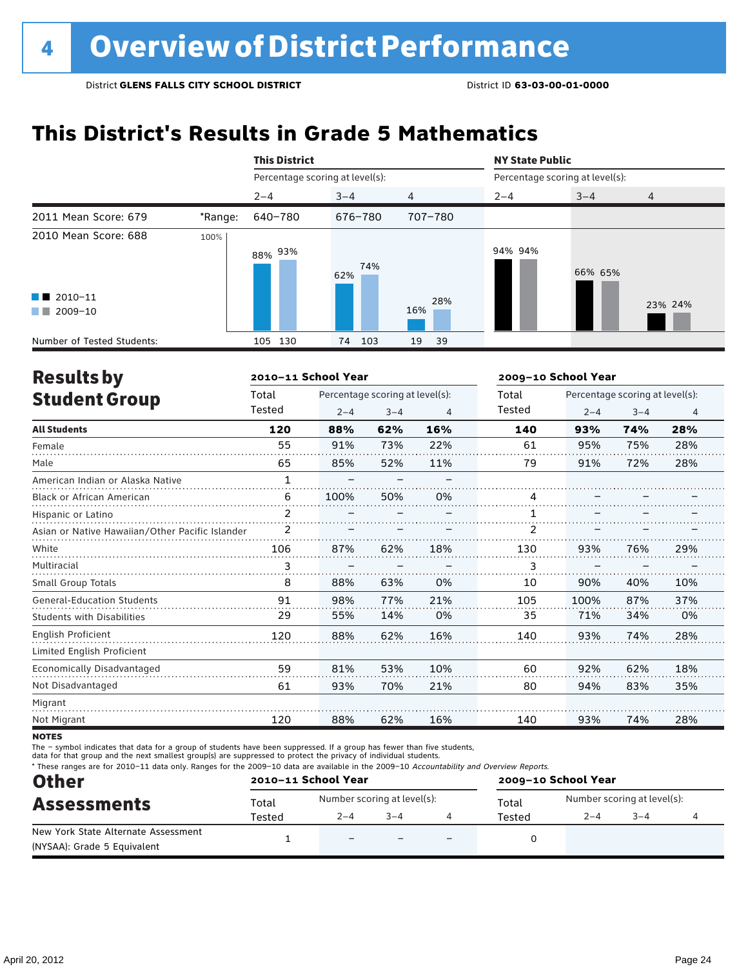# **This District's Results in Grade 5 Mathematics**

|                                                                                                                                                                                                                                                                           |         | <b>This District</b>            |            |                | <b>NY State Public</b>          |         |         |
|---------------------------------------------------------------------------------------------------------------------------------------------------------------------------------------------------------------------------------------------------------------------------|---------|---------------------------------|------------|----------------|---------------------------------|---------|---------|
|                                                                                                                                                                                                                                                                           |         | Percentage scoring at level(s): |            |                | Percentage scoring at level(s): |         |         |
|                                                                                                                                                                                                                                                                           |         | $2 - 4$                         | $3 - 4$    | $\overline{4}$ | $2 - 4$                         | $3 - 4$ | 4       |
| 2011 Mean Score: 679                                                                                                                                                                                                                                                      | *Range: | 640-780                         | 676-780    | 707-780        |                                 |         |         |
| 2010 Mean Score: 688                                                                                                                                                                                                                                                      | 100%    | 93%<br>88%                      | 74%<br>62% |                | 94% 94%                         | 66% 65% |         |
| $\blacksquare$ 2010-11<br>2009-10<br><b>The Contract of the Contract of the Contract of the Contract of the Contract of the Contract of the Contract of the Contract of the Contract of the Contract of the Contract of the Contract of The Contract of The Contract </b> |         |                                 |            | 28%<br>16%     |                                 |         | 23% 24% |
| Number of Tested Students:                                                                                                                                                                                                                                                |         | 130<br>105                      | 103<br>74  | 19<br>39       |                                 |         |         |

| <b>Results by</b>                               |              | 2010-11 School Year |                                 |                | 2009-10 School Year |         |                                 |                |  |
|-------------------------------------------------|--------------|---------------------|---------------------------------|----------------|---------------------|---------|---------------------------------|----------------|--|
| <b>Student Group</b>                            | Total        |                     | Percentage scoring at level(s): |                | Total               |         | Percentage scoring at level(s): |                |  |
|                                                 | Tested       | $2 - 4$             | $3 - 4$                         | $\overline{4}$ | Tested              | $2 - 4$ | $3 - 4$                         | $\overline{4}$ |  |
| <b>All Students</b>                             | 120          | 88%                 | 62%                             | 16%            | 140                 | 93%     | 74%                             | 28%            |  |
| Female                                          | 55           | 91%                 | 73%                             | 22%            | 61                  | 95%     | 75%                             | 28%            |  |
| Male                                            | 65           | 85%                 | 52%                             | 11%            | 79                  | 91%     | 72%                             | 28%            |  |
| American Indian or Alaska Native                | $\mathbf{1}$ |                     |                                 |                |                     |         |                                 |                |  |
| <b>Black or African American</b>                | 6            | 100%                | 50%                             | 0%             | 4                   |         |                                 |                |  |
| Hispanic or Latino                              | 2            |                     |                                 |                |                     |         |                                 |                |  |
| Asian or Native Hawaiian/Other Pacific Islander | 2            |                     |                                 |                | 2                   |         |                                 |                |  |
| White                                           | 106          | 87%                 | 62%                             | 18%            | 130                 | 93%     | 76%                             | 29%            |  |
| Multiracial                                     | 3            |                     |                                 |                | 3                   |         |                                 |                |  |
| <b>Small Group Totals</b>                       | 8            | 88%                 | 63%                             | 0%             | 10                  | 90%     | 40%                             | 10%            |  |
| <b>General-Education Students</b>               | 91           | 98%                 | 77%                             | 21%            | 105                 | 100%    | 87%                             | 37%            |  |
| <b>Students with Disabilities</b>               | 29           | 55%                 | 14%                             | 0%             | 35                  | 71%     | 34%                             | 0%             |  |
| <b>English Proficient</b>                       | 120          | 88%                 | 62%                             | 16%            | 140                 | 93%     | 74%                             | 28%            |  |
| Limited English Proficient                      |              |                     |                                 |                |                     |         |                                 |                |  |
| Economically Disadvantaged                      | 59           | 81%                 | 53%                             | 10%            | 60                  | 92%     | 62%                             | 18%            |  |
| Not Disadvantaged                               | 61           | 93%                 | 70%                             | 21%            | 80                  | 94%     | 83%                             | 35%            |  |
| Migrant                                         |              |                     |                                 |                |                     |         |                                 |                |  |
| Not Migrant                                     | 120          | 88%                 | 62%                             | 16%            | 140                 | 93%     | 74%                             | 28%            |  |
|                                                 |              |                     |                                 |                |                     |         |                                 |                |  |

**NOTES** 

The – symbol indicates that data for a group of students have been suppressed. If a group has fewer than five students,

data for that group and the next smallest group(s) are suppressed to protect the privacy of individual students.

\* These ranges are for 2010–11 data only. Ranges for the 2009–10 data are available in the 2009–10 Accountability and Overview Reports.

| <b>Other</b>                        | 2010-11 School Year |                          |                             |                          | 2009-10 School Year |                             |         |  |  |
|-------------------------------------|---------------------|--------------------------|-----------------------------|--------------------------|---------------------|-----------------------------|---------|--|--|
| <b>Assessments</b>                  | Total               |                          | Number scoring at level(s): |                          | Total               | Number scoring at level(s): |         |  |  |
|                                     | Tested              | $2 - 4$                  | $3 - 4$                     |                          | Tested              | $2 - 4$                     | $3 - 4$ |  |  |
| New York State Alternate Assessment |                     | $\overline{\phantom{0}}$ |                             | $\overline{\phantom{0}}$ |                     |                             |         |  |  |
| (NYSAA): Grade 5 Equivalent         |                     |                          |                             |                          |                     |                             |         |  |  |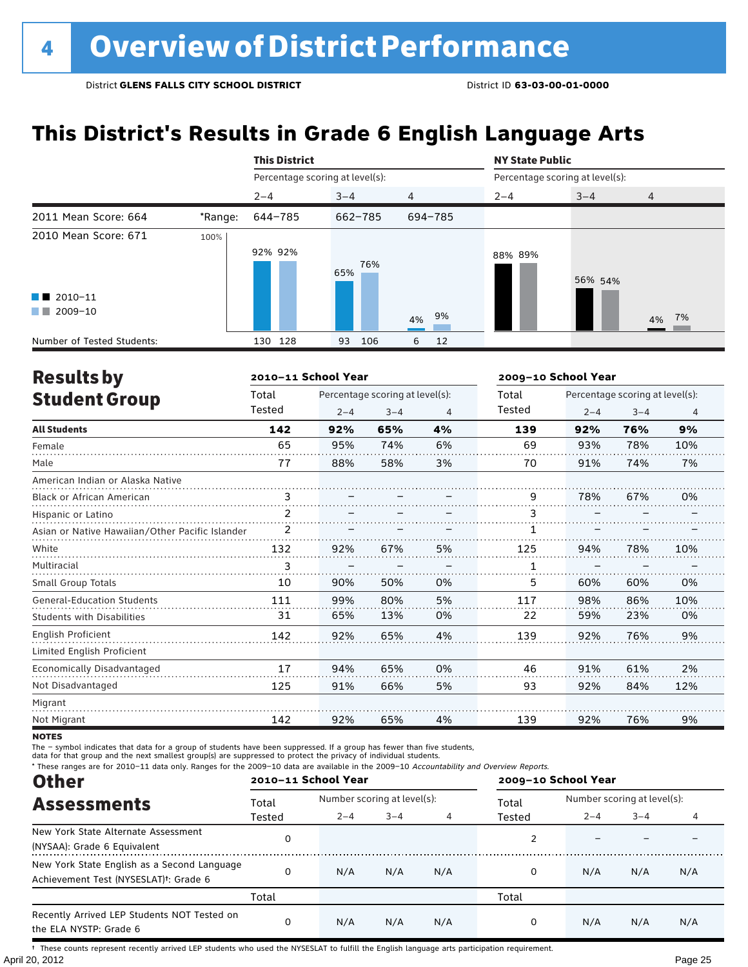# **This District's Results in Grade 6 English Language Arts**

|                                                |         | <b>This District</b>            |            |                | <b>NY State Public</b> |                                 |                |  |
|------------------------------------------------|---------|---------------------------------|------------|----------------|------------------------|---------------------------------|----------------|--|
|                                                |         | Percentage scoring at level(s): |            |                |                        | Percentage scoring at level(s): |                |  |
|                                                |         | $2 - 4$                         | $3 - 4$    | $\overline{4}$ | $2 - 4$                | $3 - 4$                         | $\overline{4}$ |  |
| 2011 Mean Score: 664                           | *Range: | 644-785                         | 662-785    | 694-785        |                        |                                 |                |  |
| 2010 Mean Score: 671<br>$\blacksquare$ 2010-11 | 100%    | 92% 92%                         | 76%<br>65% |                | 88% 89%                | 56% 54%                         |                |  |
| 2009-10<br>a sa Tan                            |         |                                 |            | 9%<br>4%       |                        |                                 | 4% 7%          |  |
| Number of Tested Students:                     |         | 128<br>130                      | 106<br>93  | 12<br>6        |                        |                                 |                |  |

| <b>Results by</b>                               |        | 2010-11 School Year |                                 |    | 2009-10 School Year |         |                                 |     |  |
|-------------------------------------------------|--------|---------------------|---------------------------------|----|---------------------|---------|---------------------------------|-----|--|
| <b>Student Group</b>                            | Total  |                     | Percentage scoring at level(s): |    | Total               |         | Percentage scoring at level(s): |     |  |
|                                                 | Tested | $2 - 4$             | $3 - 4$                         | 4  | Tested              | $2 - 4$ | $3 - 4$                         | 4   |  |
| <b>All Students</b>                             | 142    | 92%                 | 65%                             | 4% | 139                 | 92%     | 76%                             | 9%  |  |
| Female                                          | 65     | 95%                 | 74%                             | 6% | 69                  | 93%     | 78%                             | 10% |  |
| Male                                            | 77     | 88%                 | 58%                             | 3% | 70                  | 91%     | 74%                             | 7%  |  |
| American Indian or Alaska Native                |        |                     |                                 |    |                     |         |                                 |     |  |
| <b>Black or African American</b>                | 3      |                     |                                 |    | 9                   | 78%     | 67%                             | 0%  |  |
| Hispanic or Latino                              | 2      |                     |                                 |    | 3                   |         |                                 |     |  |
| Asian or Native Hawaiian/Other Pacific Islander | 2      |                     |                                 |    |                     |         |                                 |     |  |
| White                                           | 132    | 92%                 | 67%                             | 5% | 125                 | 94%     | 78%                             | 10% |  |
| Multiracial                                     | 3      |                     |                                 |    | 1                   |         |                                 |     |  |
| Small Group Totals                              | 10     | 90%                 | 50%                             | 0% | 5                   | 60%     | 60%                             | 0%  |  |
| <b>General-Education Students</b>               | 111    | 99%                 | 80%                             | 5% | 117                 | 98%     | 86%                             | 10% |  |
| <b>Students with Disabilities</b>               | 31     | 65%                 | 13%                             | 0% | 22                  | 59%     | 23%                             | 0%  |  |
| English Proficient                              | 142    | 92%                 | 65%                             | 4% | 139                 | 92%     | 76%                             | 9%  |  |
| Limited English Proficient                      |        |                     |                                 |    |                     |         |                                 |     |  |
| Economically Disadvantaged                      | 17     | 94%                 | 65%                             | 0% | 46                  | 91%     | 61%                             | 2%  |  |
| Not Disadvantaged                               | 125    | 91%                 | 66%                             | 5% | 93                  | 92%     | 84%                             | 12% |  |
| Migrant                                         |        |                     |                                 |    |                     |         |                                 |     |  |
| Not Migrant                                     | 142    | 92%                 | 65%                             | 4% | 139                 | 92%     | 76%                             | 9%  |  |

**NOTES** 

The – symbol indicates that data for a group of students have been suppressed. If a group has fewer than five students,

data for that group and the next smallest group(s) are suppressed to protect the privacy of individual students.

\* These ranges are for 2010–11 data only. Ranges for the 2009–10 data are available in the 2009–10 Accountability and Overview Reports.

| <b>Other</b>                                                                                      | 2010-11 School Year |                             |         |     | 2009-10 School Year |                             |         |     |
|---------------------------------------------------------------------------------------------------|---------------------|-----------------------------|---------|-----|---------------------|-----------------------------|---------|-----|
| <b>Assessments</b>                                                                                | Total               | Number scoring at level(s): |         |     | Total               | Number scoring at level(s): |         |     |
|                                                                                                   | Tested              | $2 - 4$                     | $3 - 4$ |     | Tested              | $2 - 4$                     | $3 - 4$ |     |
| New York State Alternate Assessment<br>(NYSAA): Grade 6 Equivalent                                |                     |                             |         |     |                     |                             |         |     |
| New York State English as a Second Language<br>Achievement Test (NYSESLAT) <sup>†</sup> : Grade 6 | $\Omega$            | N/A                         | N/A     | N/A | 0                   | N/A                         | N/A     | N/A |
|                                                                                                   | Total               |                             |         |     | Total               |                             |         |     |
| Recently Arrived LEP Students NOT Tested on<br>the ELA NYSTP: Grade 6                             | $\Omega$            | N/A                         | N/A     | N/A | 0                   | N/A                         | N/A     | N/A |

April 20, 2012 Page 25 † These counts represent recently arrived LEP students who used the NYSESLAT to fulfill the English language arts participation requirement.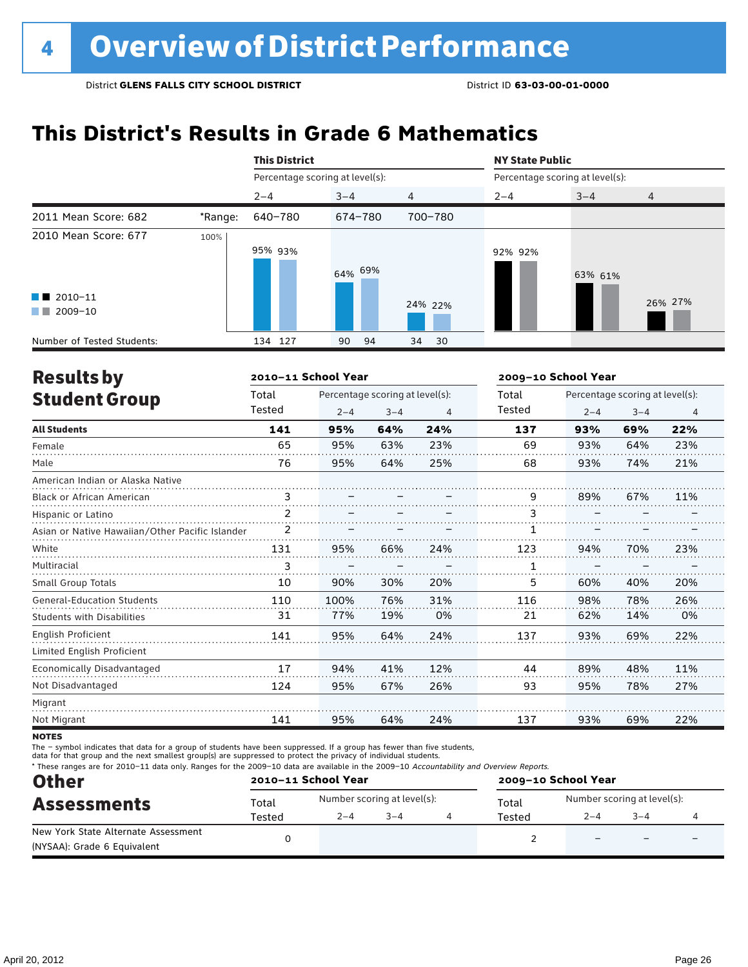# **This District's Results in Grade 6 Mathematics**

|                                                    |         | <b>This District</b>            |          |          | <b>NY State Public</b>          |         |                |  |
|----------------------------------------------------|---------|---------------------------------|----------|----------|---------------------------------|---------|----------------|--|
|                                                    |         | Percentage scoring at level(s): |          |          | Percentage scoring at level(s): |         |                |  |
|                                                    |         | $2 - 4$                         | $3 - 4$  | 4        | $2 - 4$                         | $3 - 4$ | $\overline{4}$ |  |
| 2011 Mean Score: 682                               | *Range: | 640-780                         | 674-780  | 700-780  |                                 |         |                |  |
| 2010 Mean Score: 677                               | 100%    | 95% 93%                         | 64% 69%  |          | 92% 92%                         | 63% 61% |                |  |
| $\blacksquare$ 2010-11<br>2009-10<br><b>The Co</b> |         |                                 |          | 24% 22%  |                                 |         | 26% 27%        |  |
| Number of Tested Students:                         |         | 134 127                         | 90<br>94 | 34<br>30 |                                 |         |                |  |

| <b>Results by</b>                               |        | 2010-11 School Year |                                 |     | 2009-10 School Year |                                 |         |                |  |
|-------------------------------------------------|--------|---------------------|---------------------------------|-----|---------------------|---------------------------------|---------|----------------|--|
| <b>Student Group</b>                            | Total  |                     | Percentage scoring at level(s): |     | Total               | Percentage scoring at level(s): |         |                |  |
|                                                 | Tested | $2 - 4$             | $3 - 4$                         | 4   | Tested              | $2 - 4$                         | $3 - 4$ | $\overline{4}$ |  |
| <b>All Students</b>                             | 141    | 95%                 | 64%                             | 24% | 137                 | 93%                             | 69%     | 22%            |  |
| Female                                          | 65     | 95%                 | 63%                             | 23% | 69                  | 93%                             | 64%     | 23%            |  |
| Male                                            | 76     | 95%                 | 64%                             | 25% | 68                  | 93%                             | 74%     | 21%            |  |
| American Indian or Alaska Native                |        |                     |                                 |     |                     |                                 |         |                |  |
| <b>Black or African American</b>                | 3      |                     |                                 |     | 9                   | 89%                             | 67%     | 11%            |  |
| Hispanic or Latino                              | 2      |                     |                                 |     | 3                   |                                 |         |                |  |
| Asian or Native Hawaiian/Other Pacific Islander | 2      |                     |                                 |     |                     |                                 |         |                |  |
| White                                           | 131    | 95%                 | 66%                             | 24% | 123                 | 94%                             | 70%     | 23%            |  |
| Multiracial                                     | 3      |                     |                                 |     | 1                   |                                 |         |                |  |
| Small Group Totals                              | 10     | 90%                 | 30%                             | 20% | 5                   | 60%                             | 40%     | 20%            |  |
| <b>General-Education Students</b>               | 110    | 100%                | 76%                             | 31% | 116                 | 98%                             | 78%     | 26%            |  |
| <b>Students with Disabilities</b>               | 31     | 77%                 | 19%                             | 0%  | 21                  | 62%                             | 14%     | 0%             |  |
| <b>English Proficient</b>                       | 141    | 95%                 | 64%                             | 24% | 137                 | 93%                             | 69%     | 22%            |  |
| Limited English Proficient                      |        |                     |                                 |     |                     |                                 |         |                |  |
| Economically Disadvantaged                      | 17     | 94%                 | 41%                             | 12% | 44                  | 89%                             | 48%     | 11%            |  |
| Not Disadvantaged                               | 124    | 95%                 | 67%                             | 26% | 93                  | 95%                             | 78%     | 27%            |  |
| Migrant                                         |        |                     |                                 |     |                     |                                 |         |                |  |
| Not Migrant                                     | 141    | 95%                 | 64%                             | 24% | 137                 | 93%                             | 69%     | 22%            |  |

**NOTES** 

The – symbol indicates that data for a group of students have been suppressed. If a group has fewer than five students,

data for that group and the next smallest group(s) are suppressed to protect the privacy of individual students.

\* These ranges are for 2010–11 data only. Ranges for the 2009–10 data are available in the 2009–10 Accountability and Overview Reports.

| <b>Other</b>                        |        | 2010-11 School Year         |         | 2009-10 School Year |                             |        |  |  |
|-------------------------------------|--------|-----------------------------|---------|---------------------|-----------------------------|--------|--|--|
| <b>Assessments</b>                  | Total  | Number scoring at level(s): |         | Total               | Number scoring at level(s): |        |  |  |
|                                     | Tested | $2 - 4$                     | $3 - 4$ | Tested              | $2 - 4$                     | $-3-4$ |  |  |
| New York State Alternate Assessment |        |                             |         |                     |                             |        |  |  |
| (NYSAA): Grade 6 Equivalent         |        |                             |         |                     |                             |        |  |  |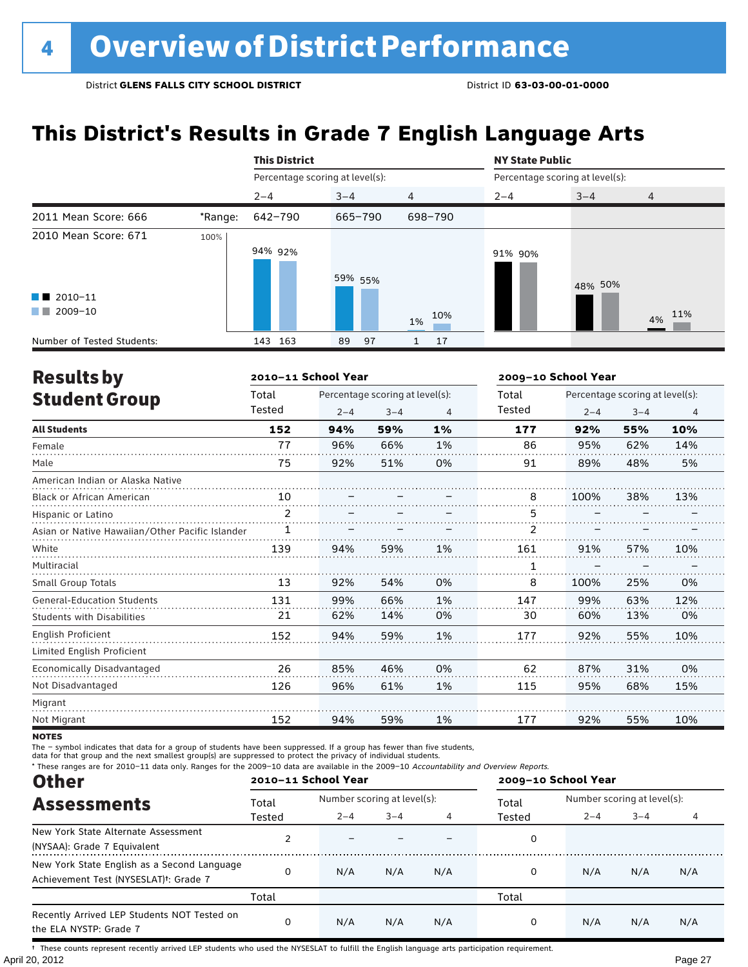# **This District's Results in Grade 7 English Language Arts**

|                                                                            |         | <b>This District</b>            |          |                | <b>NY State Public</b>          |         |                |  |
|----------------------------------------------------------------------------|---------|---------------------------------|----------|----------------|---------------------------------|---------|----------------|--|
|                                                                            |         | Percentage scoring at level(s): |          |                | Percentage scoring at level(s): |         |                |  |
|                                                                            |         | $2 - 4$                         | $3 - 4$  | $\overline{4}$ | $2 - 4$                         | $3 - 4$ | $\overline{4}$ |  |
| 2011 Mean Score: 666                                                       | *Range: | 642-790                         | 665-790  | 698-790        |                                 |         |                |  |
| 2010 Mean Score: 671<br>$\blacksquare$ 2010-11<br>2009-10<br><b>The Co</b> | 100%    | 94% 92%                         | 59% 55%  | 10%<br>1%      | 91% 90%                         | 48% 50% | 4% 11%         |  |
| Number of Tested Students:                                                 |         | 163<br>143                      | 97<br>89 | 17             |                                 |         |                |  |

| <b>Results by</b>                               |                | 2010-11 School Year |                                 |    |        | 2009-10 School Year             |         |     |  |
|-------------------------------------------------|----------------|---------------------|---------------------------------|----|--------|---------------------------------|---------|-----|--|
| <b>Student Group</b>                            | Total          |                     | Percentage scoring at level(s): |    | Total  | Percentage scoring at level(s): |         |     |  |
|                                                 | Tested         | $2 - 4$             | $3 - 4$                         | 4  | Tested | $2 - 4$                         | $3 - 4$ | 4   |  |
| <b>All Students</b>                             | 152            | 94%                 | 59%                             | 1% | 177    | 92%                             | 55%     | 10% |  |
| Female                                          | 77             | 96%                 | 66%                             | 1% | 86     | 95%                             | 62%     | 14% |  |
| Male                                            | 75             | 92%                 | 51%                             | 0% | 91     | 89%                             | 48%     | 5%  |  |
| American Indian or Alaska Native                |                |                     |                                 |    |        |                                 |         |     |  |
| <b>Black or African American</b>                | 10             |                     |                                 |    | 8      | 100%                            | 38%     | 13% |  |
| Hispanic or Latino                              | $\overline{2}$ |                     |                                 |    | 5      |                                 |         |     |  |
| Asian or Native Hawaiian/Other Pacific Islander | 1              |                     |                                 |    | 2      |                                 |         |     |  |
| White                                           | 139            | 94%                 | 59%                             | 1% | 161    | 91%                             | 57%     | 10% |  |
| Multiracial                                     |                |                     |                                 |    | 1      |                                 |         |     |  |
| <b>Small Group Totals</b>                       | 13             | 92%                 | 54%                             | 0% | 8      | 100%                            | 25%     | 0%  |  |
| <b>General-Education Students</b>               | 131            | 99%                 | 66%                             | 1% | 147    | 99%                             | 63%     | 12% |  |
| <b>Students with Disabilities</b>               | 21             | 62%                 | 14%                             | 0% | 30     | 60%                             | 13%     | 0%  |  |
| <b>English Proficient</b>                       | 152            | 94%                 | 59%                             | 1% | 177    | 92%                             | 55%     | 10% |  |
| Limited English Proficient                      |                |                     |                                 |    |        |                                 |         |     |  |
| Economically Disadvantaged                      | 26             | 85%                 | 46%                             | 0% | 62     | 87%                             | 31%     | 0%  |  |
| Not Disadvantaged                               | 126            | 96%                 | 61%                             | 1% | 115    | 95%                             | 68%     | 15% |  |
| Migrant                                         |                |                     |                                 |    |        |                                 |         |     |  |
| Not Migrant                                     | 152            | 94%                 | 59%                             | 1% | 177    | 92%                             | 55%     | 10% |  |

**NOTES** 

The – symbol indicates that data for a group of students have been suppressed. If a group has fewer than five students,

data for that group and the next smallest group(s) are suppressed to protect the privacy of individual students.

\* These ranges are for 2010–11 data only. Ranges for the 2009–10 data are available in the 2009–10 Accountability and Overview Reports.

| <b>Other</b>                                                                                      |              | 2010-11 School Year         |         |     |        | 2009-10 School Year         |         |     |  |  |
|---------------------------------------------------------------------------------------------------|--------------|-----------------------------|---------|-----|--------|-----------------------------|---------|-----|--|--|
| <b>Assessments</b>                                                                                | Total        | Number scoring at level(s): |         |     | Total  | Number scoring at level(s): |         |     |  |  |
|                                                                                                   | Tested       | $2 - 4$                     | $3 - 4$ |     | Tested | $2 - 4$                     | $3 - 4$ |     |  |  |
| New York State Alternate Assessment<br>(NYSAA): Grade 7 Equivalent                                |              |                             |         |     | 0      |                             |         |     |  |  |
| New York State English as a Second Language<br>Achievement Test (NYSESLAT) <sup>+</sup> : Grade 7 | <sup>0</sup> | N/A                         | N/A     | N/A | 0      | N/A                         | N/A     | N/A |  |  |
|                                                                                                   | Total        |                             |         |     | Total  |                             |         |     |  |  |
| Recently Arrived LEP Students NOT Tested on<br>the ELA NYSTP: Grade 7                             | $\Omega$     | N/A                         | N/A     | N/A | 0      | N/A                         | N/A     | N/A |  |  |

April 20, 2012 Page 27 † These counts represent recently arrived LEP students who used the NYSESLAT to fulfill the English language arts participation requirement.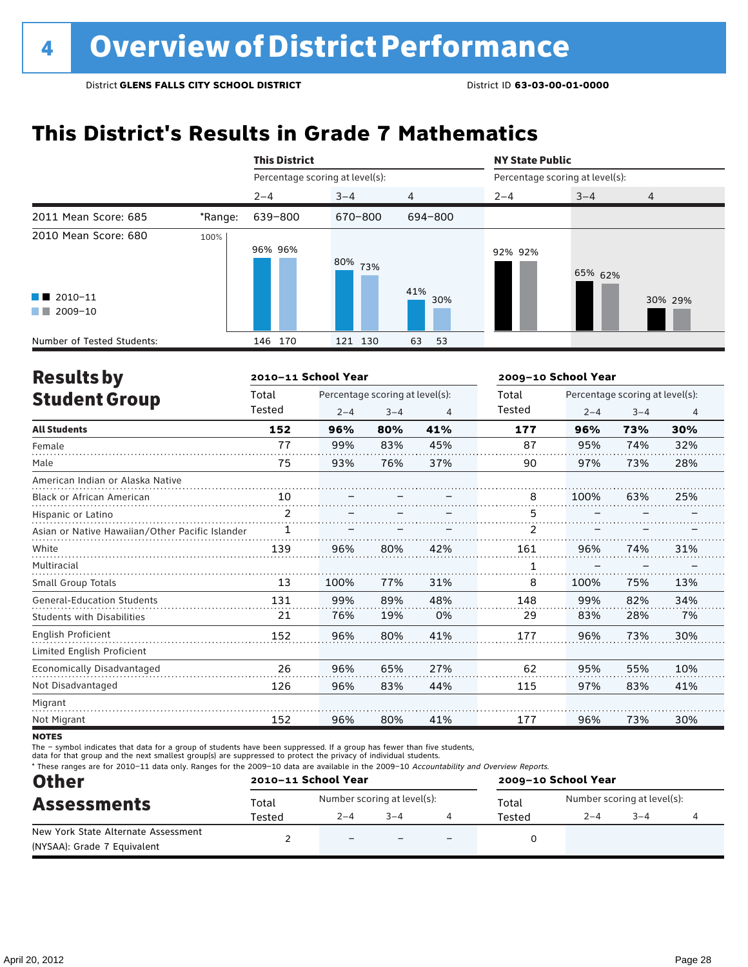# **This District's Results in Grade 7 Mathematics**

|                                                                            |         | <b>This District</b>            |            |            | <b>NY State Public</b>          |         |         |  |
|----------------------------------------------------------------------------|---------|---------------------------------|------------|------------|---------------------------------|---------|---------|--|
|                                                                            |         | Percentage scoring at level(s): |            |            | Percentage scoring at level(s): |         |         |  |
|                                                                            |         | $2 - 4$                         | $3 - 4$    | 4          | $2 - 4$                         | $3 - 4$ | 4       |  |
| 2011 Mean Score: 685                                                       | *Range: | 639-800                         | 670-800    | 694-800    |                                 |         |         |  |
| 2010 Mean Score: 680<br>$\blacksquare$ 2010-11<br>2009-10<br><b>The Co</b> | 100%    | 96% 96%                         | 80%<br>73% | 41%<br>30% | 92% 92%                         | 65% 62% | 30% 29% |  |
| Number of Tested Students:                                                 |         | 146 170                         | 121 130    | 63<br>53   |                                 |         |         |  |

| <b>Results by</b>                               |        | 2010-11 School Year |                                 |     | 2009-10 School Year |      | Percentage scoring at level(s):<br>$2 - 4$<br>$3 - 4$<br>$\overline{4}$<br>30%<br>73%<br>32%<br>74%<br>28%<br>73%<br>63%<br>25%<br>74%<br>31% |     |  |
|-------------------------------------------------|--------|---------------------|---------------------------------|-----|---------------------|------|-----------------------------------------------------------------------------------------------------------------------------------------------|-----|--|
| <b>Student Group</b>                            | Total  |                     | Percentage scoring at level(s): |     | Total               |      |                                                                                                                                               |     |  |
|                                                 | Tested | $2 - 4$             | $3 - 4$                         | 4   | Tested              |      |                                                                                                                                               |     |  |
| <b>All Students</b>                             | 152    | 96%                 | 80%                             | 41% | 177                 | 96%  |                                                                                                                                               |     |  |
| Female                                          | 77     | 99%                 | 83%                             | 45% | 87                  | 95%  |                                                                                                                                               |     |  |
| Male                                            | 75     | 93%                 | 76%                             | 37% | 90                  | 97%  |                                                                                                                                               |     |  |
| American Indian or Alaska Native                |        |                     |                                 |     |                     |      |                                                                                                                                               |     |  |
| <b>Black or African American</b>                | 10     |                     |                                 |     | 8                   | 100% |                                                                                                                                               |     |  |
| Hispanic or Latino                              | 2      |                     |                                 |     | 5                   |      |                                                                                                                                               |     |  |
| Asian or Native Hawaiian/Other Pacific Islander | 1      |                     |                                 |     | $\overline{2}$      |      |                                                                                                                                               |     |  |
| White                                           | 139    | 96%                 | 80%                             | 42% | 161                 | 96%  |                                                                                                                                               |     |  |
| Multiracial                                     |        |                     |                                 |     | 1                   |      |                                                                                                                                               |     |  |
| <b>Small Group Totals</b>                       | 13     | 100%                | 77%                             | 31% | 8                   | 100% | 75%                                                                                                                                           | 13% |  |
| <b>General-Education Students</b>               | 131    | 99%                 | 89%                             | 48% | 148                 | 99%  | 82%                                                                                                                                           | 34% |  |
| Students with Disabilities                      | 21     | 76%                 | 19%                             | 0%  | 29                  | 83%  | 28%                                                                                                                                           | 7%  |  |
| English Proficient                              | 152    | 96%                 | 80%                             | 41% | 177                 | 96%  | 73%                                                                                                                                           | 30% |  |
| Limited English Proficient                      |        |                     |                                 |     |                     |      |                                                                                                                                               |     |  |
| Economically Disadvantaged                      | 26     | 96%                 | 65%                             | 27% | 62                  | 95%  | 55%                                                                                                                                           | 10% |  |
| Not Disadvantaged                               | 126    | 96%                 | 83%                             | 44% | 115                 | 97%  | 83%                                                                                                                                           | 41% |  |
| Migrant                                         |        |                     |                                 |     |                     |      |                                                                                                                                               |     |  |
| Not Migrant                                     | 152    | 96%                 | 80%                             | 41% | 177                 | 96%  | 73%                                                                                                                                           | 30% |  |

**NOTES** 

The – symbol indicates that data for a group of students have been suppressed. If a group has fewer than five students,

data for that group and the next smallest group(s) are suppressed to protect the privacy of individual students.

\* These ranges are for 2010–11 data only. Ranges for the 2009–10 data are available in the 2009–10 Accountability and Overview Reports.

| <b>Other</b>                                                       |        | 2010-11 School Year      |                             |                          | 2009-10 School Year |                             |         |  |  |
|--------------------------------------------------------------------|--------|--------------------------|-----------------------------|--------------------------|---------------------|-----------------------------|---------|--|--|
| <b>Assessments</b>                                                 | Total  |                          | Number scoring at level(s): |                          | Total               | Number scoring at level(s): |         |  |  |
|                                                                    | Tested | $2 - 4$                  | $3 - 4$                     |                          | Tested              | $2 - 4$                     | $3 - 4$ |  |  |
| New York State Alternate Assessment<br>(NYSAA): Grade 7 Equivalent |        | $\overline{\phantom{0}}$ |                             | $\overline{\phantom{0}}$ |                     |                             |         |  |  |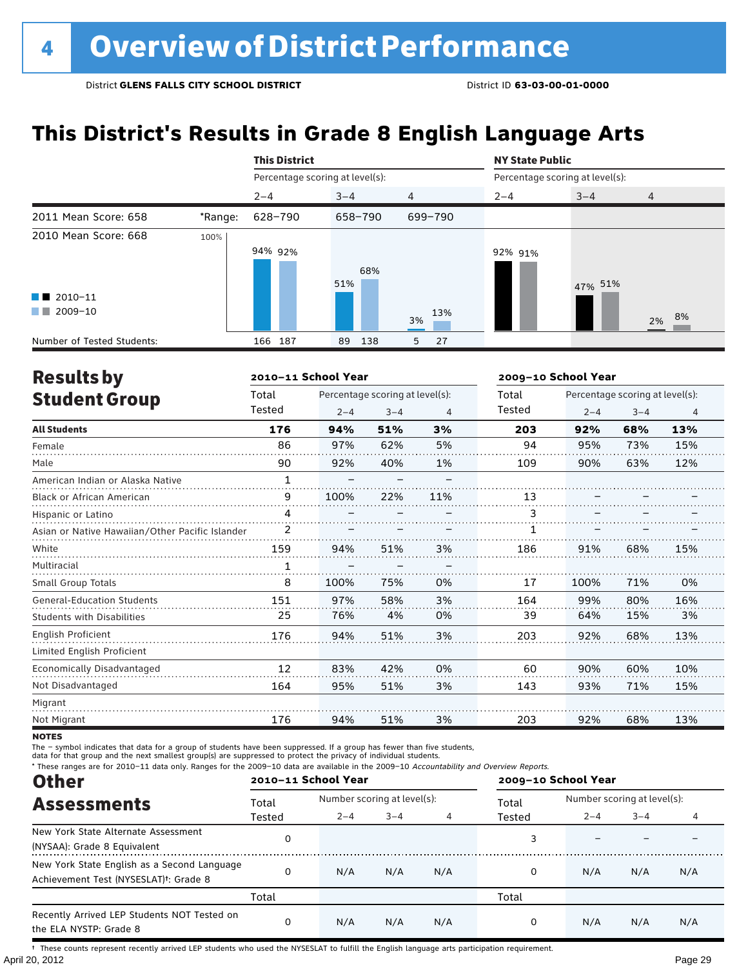# **This District's Results in Grade 8 English Language Arts**

|                                                    |         | <b>This District</b>            |            |                | <b>NY State Public</b> |                                 |                |  |  |
|----------------------------------------------------|---------|---------------------------------|------------|----------------|------------------------|---------------------------------|----------------|--|--|
|                                                    |         | Percentage scoring at level(s): |            |                |                        | Percentage scoring at level(s): |                |  |  |
|                                                    |         | $2 - 4$                         | $3 - 4$    | $\overline{4}$ | $2 - 4$                | $3 - 4$                         | $\overline{4}$ |  |  |
| 2011 Mean Score: 658                               | *Range: | 628-790                         | 658-790    | 699-790        |                        |                                 |                |  |  |
| 2010 Mean Score: 668                               | 100%    | 94% 92%                         | 68%<br>51% |                | 92% 91%                | 47% 51%                         |                |  |  |
| $\blacksquare$ 2010-11<br>2009-10<br><b>The Co</b> |         |                                 |            | 13%<br>3%      |                        |                                 | 8%<br>2%       |  |  |
| Number of Tested Students:                         |         | 166 187                         | 138<br>89  | 5<br>27        |                        |                                 |                |  |  |

| <b>Results by</b>                               |              | 2010-11 School Year |                                 |     |        | 2009-10 School Year             |         |     |  |
|-------------------------------------------------|--------------|---------------------|---------------------------------|-----|--------|---------------------------------|---------|-----|--|
| <b>Student Group</b>                            | Total        |                     | Percentage scoring at level(s): |     | Total  | Percentage scoring at level(s): |         |     |  |
|                                                 | Tested       | $2 - 4$             | $3 - 4$                         | 4   | Tested | $2 - 4$                         | $3 - 4$ | 4   |  |
| <b>All Students</b>                             | 176          | 94%                 | 51%                             | 3%  | 203    | 92%                             | 68%     | 13% |  |
| Female                                          | 86           | 97%                 | 62%                             | 5%  | 94     | 95%                             | 73%     | 15% |  |
| Male                                            | 90           | 92%                 | 40%                             | 1%  | 109    | 90%                             | 63%     | 12% |  |
| American Indian or Alaska Native                | $\mathbf{1}$ |                     |                                 |     |        |                                 |         |     |  |
| Black or African American                       | 9            | 100%                | 22%                             | 11% | 13     |                                 |         |     |  |
| Hispanic or Latino                              | 4            |                     |                                 |     | 3      |                                 |         |     |  |
| Asian or Native Hawaiian/Other Pacific Islander |              |                     |                                 |     |        |                                 |         |     |  |
| White                                           | 159          | 94%                 | 51%                             | 3%  | 186    | 91%                             | 68%     | 15% |  |
| Multiracial                                     |              |                     |                                 |     |        |                                 |         |     |  |
| Small Group Totals                              | 8            | 100%                | 75%                             | 0%  | 17     | 100%                            | 71%     | 0%  |  |
| <b>General-Education Students</b>               | 151          | 97%                 | 58%                             | 3%  | 164    | 99%                             | 80%     | 16% |  |
| <b>Students with Disabilities</b>               | 25           | 76%                 | 4%                              | 0%  | 39     | 64%                             | 15%     | 3%  |  |
| English Proficient                              | 176          | 94%                 | 51%                             | 3%  | 203    | 92%                             | 68%     | 13% |  |
| Limited English Proficient                      |              |                     |                                 |     |        |                                 |         |     |  |
| Economically Disadvantaged                      | 12           | 83%                 | 42%                             | 0%  | 60     | 90%                             | 60%     | 10% |  |
| Not Disadvantaged                               | 164          | 95%                 | 51%                             | 3%  | 143    | 93%                             | 71%     | 15% |  |
| Migrant                                         |              |                     |                                 |     |        |                                 |         |     |  |
| Not Migrant                                     | 176          | 94%                 | 51%                             | 3%  | 203    | 92%                             | 68%     | 13% |  |

**NOTES** 

The – symbol indicates that data for a group of students have been suppressed. If a group has fewer than five students,

data for that group and the next smallest group(s) are suppressed to protect the privacy of individual students.

\* These ranges are for 2010–11 data only. Ranges for the 2009–10 data are available in the 2009–10 Accountability and Overview Reports.

| <b>Other</b>                                                                                      |        | 2010-11 School Year         |         |     |        | 2009-10 School Year         |         |     |  |  |
|---------------------------------------------------------------------------------------------------|--------|-----------------------------|---------|-----|--------|-----------------------------|---------|-----|--|--|
| <b>Assessments</b>                                                                                | Total  | Number scoring at level(s): |         |     | Total  | Number scoring at level(s): |         |     |  |  |
|                                                                                                   | Tested | $2 - 4$                     | $3 - 4$ |     | Tested | $2 - 4$                     | $3 - 4$ |     |  |  |
| New York State Alternate Assessment<br>(NYSAA): Grade 8 Equivalent                                |        |                             |         |     |        |                             |         |     |  |  |
| New York State English as a Second Language<br>Achievement Test (NYSESLAT) <sup>†</sup> : Grade 8 |        | N/A                         | N/A     | N/A | 0      | N/A                         | N/A     | N/A |  |  |
|                                                                                                   | Total  |                             |         |     | Total  |                             |         |     |  |  |
| Recently Arrived LEP Students NOT Tested on<br>the ELA NYSTP: Grade 8                             |        | N/A                         | N/A     | N/A | 0      | N/A                         | N/A     | N/A |  |  |

April 20, 2012 Page 29 † These counts represent recently arrived LEP students who used the NYSESLAT to fulfill the English language arts participation requirement.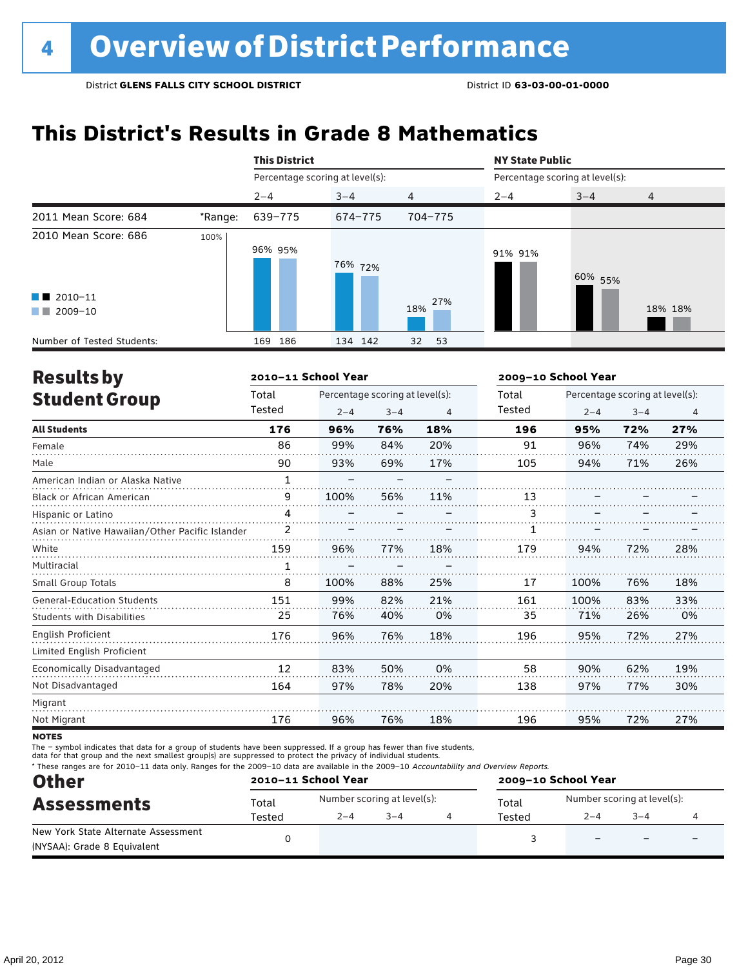# **This District's Results in Grade 8 Mathematics**

|                                                |         | <b>This District</b>            |         |                | <b>NY State Public</b>          |         |                |  |  |
|------------------------------------------------|---------|---------------------------------|---------|----------------|---------------------------------|---------|----------------|--|--|
|                                                |         | Percentage scoring at level(s): |         |                | Percentage scoring at level(s): |         |                |  |  |
|                                                |         | $2 - 4$                         | $3 - 4$ | $\overline{4}$ | $2 - 4$                         | $3 - 4$ | $\overline{4}$ |  |  |
| 2011 Mean Score: 684                           | *Range: | 639-775                         | 674-775 | 704-775        |                                 |         |                |  |  |
| 2010 Mean Score: 686<br>$\blacksquare$ 2010-11 | 100%    | 96% 95%                         | 76% 72% |                | 91% 91%                         | 60% 55% |                |  |  |
| 2009-10<br><b>The Co</b>                       |         |                                 |         | 27%<br>18%     |                                 |         | 18% 18%        |  |  |
| Number of Tested Students:                     |         | 186<br>169                      | 134 142 | 32<br>53       |                                 |         |                |  |  |

| <b>Results by</b>                               |              | 2010-11 School Year |                                 |     | 2009-10 School Year |                                 |         |     |  |
|-------------------------------------------------|--------------|---------------------|---------------------------------|-----|---------------------|---------------------------------|---------|-----|--|
| <b>Student Group</b>                            | Total        |                     | Percentage scoring at level(s): |     |                     | Percentage scoring at level(s): |         |     |  |
|                                                 | Tested       | $2 - 4$             | $3 - 4$                         | 4   | Tested              | $2 - 4$                         | $3 - 4$ | 4   |  |
| <b>All Students</b>                             | 176          | 96%                 | 76%                             | 18% | 196                 | 95%                             | 72%     | 27% |  |
| Female                                          | 86           | 99%                 | 84%                             | 20% | 91                  | 96%                             | 74%     | 29% |  |
| Male                                            | 90           | 93%                 | 69%                             | 17% | 105                 | 94%                             | 71%     | 26% |  |
| American Indian or Alaska Native                | $\mathbf{1}$ |                     |                                 |     |                     |                                 |         |     |  |
| <b>Black or African American</b>                | 9            | 100%                | 56%                             | 11% | 13                  |                                 |         |     |  |
| Hispanic or Latino                              | 4            |                     |                                 |     | 3                   |                                 |         |     |  |
| Asian or Native Hawaiian/Other Pacific Islander | 2            |                     |                                 |     |                     |                                 |         |     |  |
| White                                           | 159          | 96%                 | 77%                             | 18% | 179                 | 94%                             | 72%     | 28% |  |
| Multiracial                                     | 1            |                     |                                 |     |                     |                                 |         |     |  |
| Small Group Totals                              | 8            | 100%                | 88%                             | 25% | 17                  | 100%                            | 76%     | 18% |  |
| <b>General-Education Students</b>               | 151          | 99%                 | 82%                             | 21% | 161                 | 100%                            | 83%     | 33% |  |
| <b>Students with Disabilities</b>               | 25           | 76%                 | 40%                             | 0%  | 35                  | 71%                             | 26%     | 0%  |  |
| <b>English Proficient</b>                       | 176          | 96%                 | 76%                             | 18% | 196                 | 95%                             | 72%     | 27% |  |
| Limited English Proficient                      |              |                     |                                 |     |                     |                                 |         |     |  |
| Economically Disadvantaged                      | 12           | 83%                 | 50%                             | 0%  | 58                  | 90%                             | 62%     | 19% |  |
| Not Disadvantaged                               | 164          | 97%                 | 78%                             | 20% | 138                 | 97%                             | 77%     | 30% |  |
| Migrant                                         |              |                     |                                 |     |                     |                                 |         |     |  |
| Not Migrant                                     | 176          | 96%                 | 76%                             | 18% | 196                 | 95%                             | 72%     | 27% |  |
|                                                 |              |                     |                                 |     |                     |                                 |         |     |  |

**NOTES** 

The – symbol indicates that data for a group of students have been suppressed. If a group has fewer than five students,

data for that group and the next smallest group(s) are suppressed to protect the privacy of individual students.

\* These ranges are for 2010–11 data only. Ranges for the 2009–10 data are available in the 2009–10 Accountability and Overview Reports.

| <b>Other</b><br><b>Assessments</b>  |        | 2010-11 School Year         |         | 2009-10 School Year |                             |         |   |  |
|-------------------------------------|--------|-----------------------------|---------|---------------------|-----------------------------|---------|---|--|
|                                     | Total  | Number scoring at level(s): |         | Total               | Number scoring at level(s): |         |   |  |
|                                     | Tested | $2 - 4$                     | $3 - 4$ | Tested              | $2 - 4$                     | $3 - 4$ |   |  |
| New York State Alternate Assessment |        |                             |         |                     |                             |         | - |  |
| (NYSAA): Grade 8 Equivalent         |        |                             |         |                     |                             |         |   |  |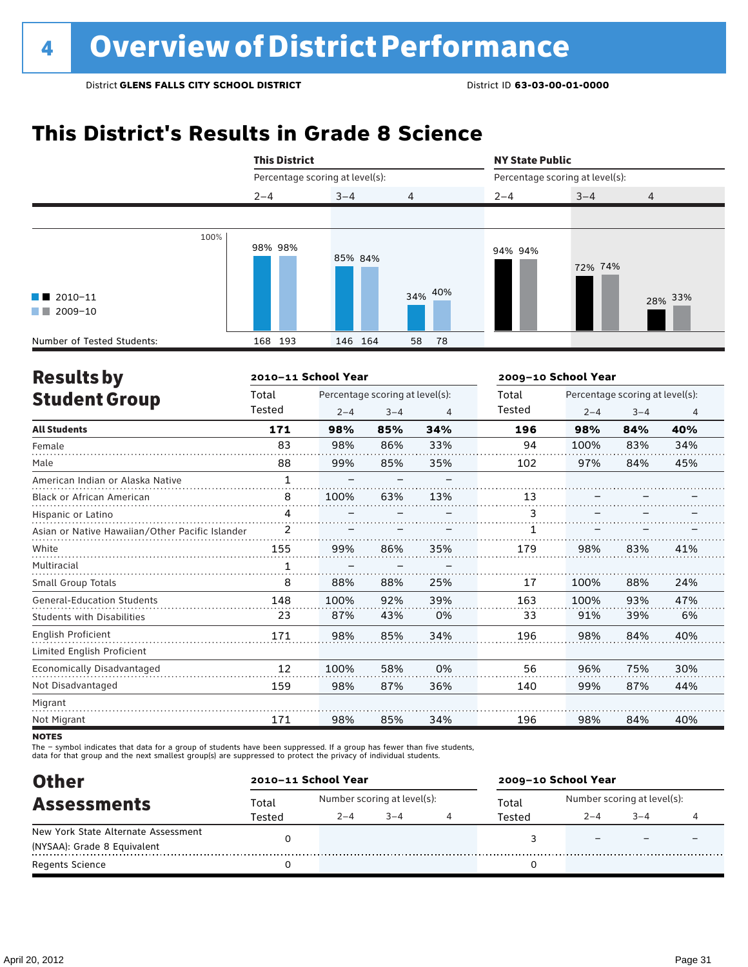# **This District's Results in Grade 8 Science**



| <b>Results by</b>                               |              | 2010-11 School Year |                                 |     | 2009-10 School Year |                                 |         |                |  |
|-------------------------------------------------|--------------|---------------------|---------------------------------|-----|---------------------|---------------------------------|---------|----------------|--|
| <b>Student Group</b>                            | Total        |                     | Percentage scoring at level(s): |     |                     | Percentage scoring at level(s): |         |                |  |
|                                                 | Tested       | $2 - 4$             | $3 - 4$                         | 4   | Tested              | $2 - 4$                         | $3 - 4$ | $\overline{4}$ |  |
| <b>All Students</b>                             | 171          | 98%                 | 85%                             | 34% | 196                 | 98%                             | 84%     | 40%            |  |
| Female                                          | 83           | 98%                 | 86%                             | 33% | 94                  | 100%                            | 83%     | 34%            |  |
| Male                                            | 88           | 99%                 | 85%                             | 35% | 102                 | 97%                             | 84%     | 45%            |  |
| American Indian or Alaska Native                | $\mathbf{1}$ |                     |                                 |     |                     |                                 |         |                |  |
| <b>Black or African American</b>                | 8            | 100%                | 63%                             | 13% | 13                  |                                 |         |                |  |
| Hispanic or Latino                              | 4            |                     |                                 |     | 3                   |                                 |         |                |  |
| Asian or Native Hawaiian/Other Pacific Islander | 2            |                     |                                 |     |                     |                                 |         |                |  |
| White                                           | 155          | 99%                 | 86%                             | 35% | 179                 | 98%                             | 83%     | 41%            |  |
| Multiracial                                     | 1            |                     |                                 |     |                     |                                 |         |                |  |
| Small Group Totals                              | 8            | 88%                 | 88%                             | 25% | 17                  | 100%                            | 88%     | 24%            |  |
| <b>General-Education Students</b>               | 148          | 100%                | 92%                             | 39% | 163                 | 100%                            | 93%     | 47%            |  |
| <b>Students with Disabilities</b>               | 23           | 87%                 | 43%                             | 0%  | 33                  | 91%                             | 39%     | 6%             |  |
| <b>English Proficient</b>                       | 171          | 98%                 | 85%                             | 34% | 196                 | 98%                             | 84%     | 40%            |  |
| Limited English Proficient                      |              |                     |                                 |     |                     |                                 |         |                |  |
| Economically Disadvantaged                      | 12           | 100%                | 58%                             | 0%  | 56                  | 96%                             | 75%     | 30%            |  |
| Not Disadvantaged                               | 159          | 98%                 | 87%                             | 36% | 140                 | 99%                             | 87%     | 44%            |  |
| Migrant                                         |              |                     |                                 |     |                     |                                 |         |                |  |
| Not Migrant                                     | 171          | 98%                 | 85%                             | 34% | 196                 | 98%                             | 84%     | 40%            |  |
|                                                 |              |                     |                                 |     |                     |                                 |         |                |  |

**NOTES** 

The – symbol indicates that data for a group of students have been suppressed. If a group has fewer than five students,

data for that group and the next smallest group(s) are suppressed to protect the privacy of individual students.

| <b>Other</b>                        |        | 2010-11 School Year |                             |  | 2009-10 School Year |                             |     |  |  |
|-------------------------------------|--------|---------------------|-----------------------------|--|---------------------|-----------------------------|-----|--|--|
| <b>Assessments</b>                  | Total  |                     | Number scoring at level(s): |  |                     | Number scoring at level(s): |     |  |  |
|                                     | Tested | $2 - 4$             | $-3-4$                      |  | Tested              | 2–4                         | 3–4 |  |  |
| New York State Alternate Assessment |        |                     |                             |  |                     |                             |     |  |  |
| (NYSAA): Grade 8 Equivalent         |        |                     |                             |  |                     |                             |     |  |  |
| Regents Science                     |        |                     |                             |  |                     |                             |     |  |  |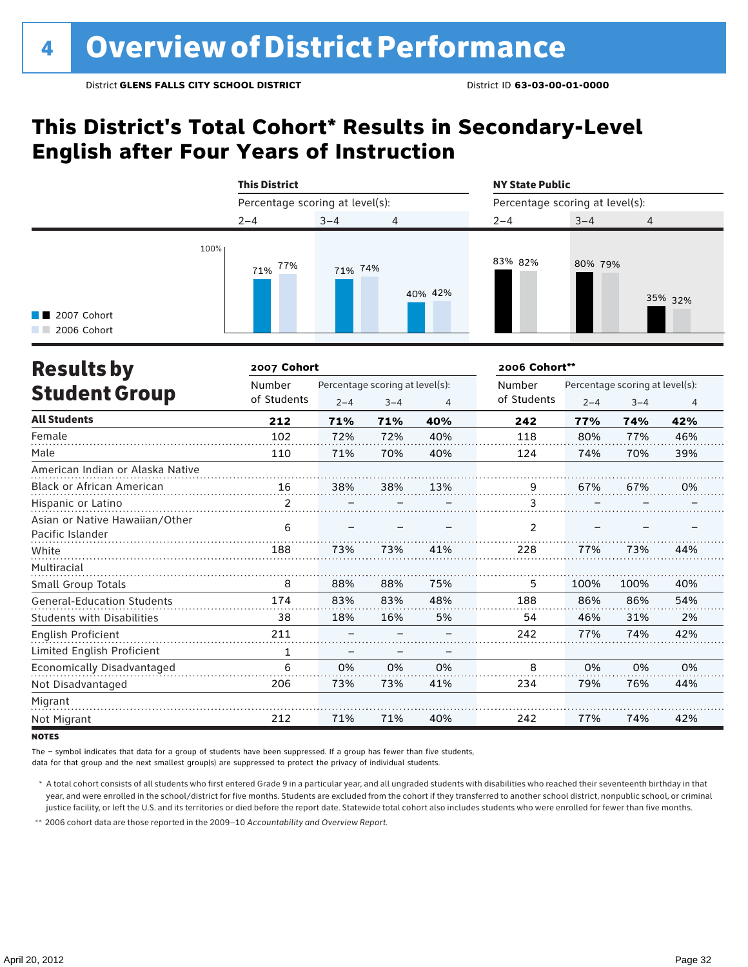### **This District's Total Cohort\* Results in Secondary-Level English after Four Years of Instruction**

|                                     |      | <b>This District</b>            |         |                | <b>NY State Public</b>          |         |                |  |
|-------------------------------------|------|---------------------------------|---------|----------------|---------------------------------|---------|----------------|--|
|                                     |      | Percentage scoring at level(s): |         |                | Percentage scoring at level(s): |         |                |  |
|                                     |      | $2 - 4$                         | $3 - 4$ | $\overline{4}$ | $2 - 4$                         | $3 - 4$ | $\overline{4}$ |  |
| <b>1</b> 2007 Cohort<br>2006 Cohort | 100% | 77%<br>71%                      | 71% 74% | 40% 42%        | 83% 82%                         | 80% 79% | 35% 32%        |  |

| <b>Results by</b>                                  | 2007 Cohort    |                                 |         |     | 2006 Cohort** |                                 |         |                |
|----------------------------------------------------|----------------|---------------------------------|---------|-----|---------------|---------------------------------|---------|----------------|
|                                                    | Number         | Percentage scoring at level(s): |         |     | Number        | Percentage scoring at level(s): |         |                |
| <b>Student Group</b>                               | of Students    | $2 - 4$                         | $3 - 4$ | 4   | of Students   | $2 - 4$                         | $3 - 4$ | $\overline{4}$ |
| <b>All Students</b>                                | 212            | 71%                             | 71%     | 40% | 242           | 77%                             | 74%     | 42%            |
| Female                                             | 102            | 72%                             | 72%     | 40% | 118           | 80%                             | 77%     | 46%            |
| Male                                               | 110            | 71%                             | 70%     | 40% | 124           | 74%                             | 70%     | 39%            |
| American Indian or Alaska Native                   |                |                                 |         |     |               |                                 |         |                |
| <b>Black or African American</b>                   | 16             | 38%                             | 38%     | 13% | 9             | 67%                             | 67%     | 0%             |
| Hispanic or Latino                                 | $\overline{2}$ |                                 |         |     | 3             |                                 |         |                |
| Asian or Native Hawaiian/Other<br>Pacific Islander | 6              |                                 |         |     | 2             |                                 |         |                |
| White                                              | 188            | 73%                             | 73%     | 41% | 228           | 77%                             | 73%     | 44%            |
| Multiracial                                        |                |                                 |         |     |               |                                 |         |                |
| Small Group Totals                                 | 8              | 88%                             | 88%     | 75% | 5             | 100%                            | 100%    | 40%            |
| <b>General-Education Students</b>                  | 174            | 83%                             | 83%     | 48% | 188           | 86%                             | 86%     | 54%            |
| <b>Students with Disabilities</b>                  | 38             | 18%                             | 16%     | 5%  | 54            | 46%                             | 31%     | 2%             |
| English Proficient                                 | 211            |                                 |         |     | 242           | 77%                             | 74%     | 42%            |
| Limited English Proficient                         |                |                                 |         |     |               |                                 |         |                |
| Economically Disadvantaged                         | 6              | 0%                              | 0%      | 0%  | 8             | 0%                              | 0%      | 0%             |
| Not Disadvantaged                                  | 206            | 73%                             | 73%     | 41% | 234           | 79%                             | 76%     | 44%            |
| Migrant                                            |                |                                 |         |     |               |                                 |         |                |
| Not Migrant                                        | 212            | 71%                             | 71%     | 40% | 242           | 77%                             | 74%     | 42%            |

**NOTES** 

The – symbol indicates that data for a group of students have been suppressed. If a group has fewer than five students,

data for that group and the next smallest group(s) are suppressed to protect the privacy of individual students.

\* A total cohort consists of all students who first entered Grade 9 in a particular year, and all ungraded students with disabilities who reached their seventeenth birthday in that year, and were enrolled in the school/district for five months. Students are excluded from the cohort if they transferred to another school district, nonpublic school, or criminal justice facility, or left the U.S. and its territories or died before the report date. Statewide total cohort also includes students who were enrolled for fewer than five months.

\*\* 2006 cohort data are those reported in the 2009–10 *Accountability and Overview Report*.